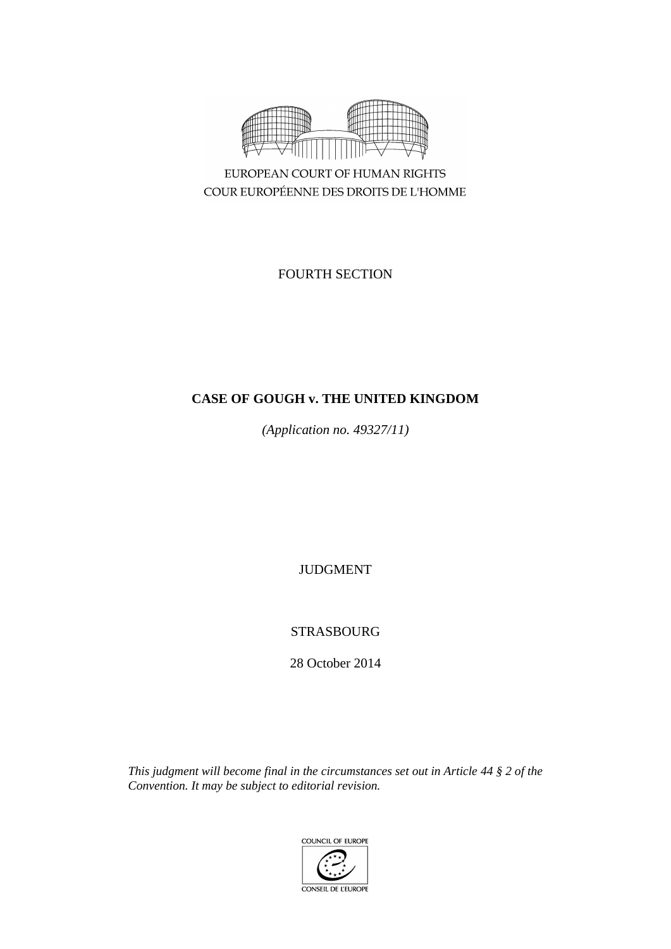

EUROPEAN COURT OF HUMAN RIGHTS COUR EUROPÉENNE DES DROITS DE L'HOMME

FOURTH SECTION

# **CASE OF GOUGH v. THE UNITED KINGDOM**

*(Application no. 49327/11)*

JUDGMENT

# STRASBOURG

28 October 2014

*This judgment will become final in the circumstances set out in Article 44 § 2 of the Convention. It may be subject to editorial revision.*

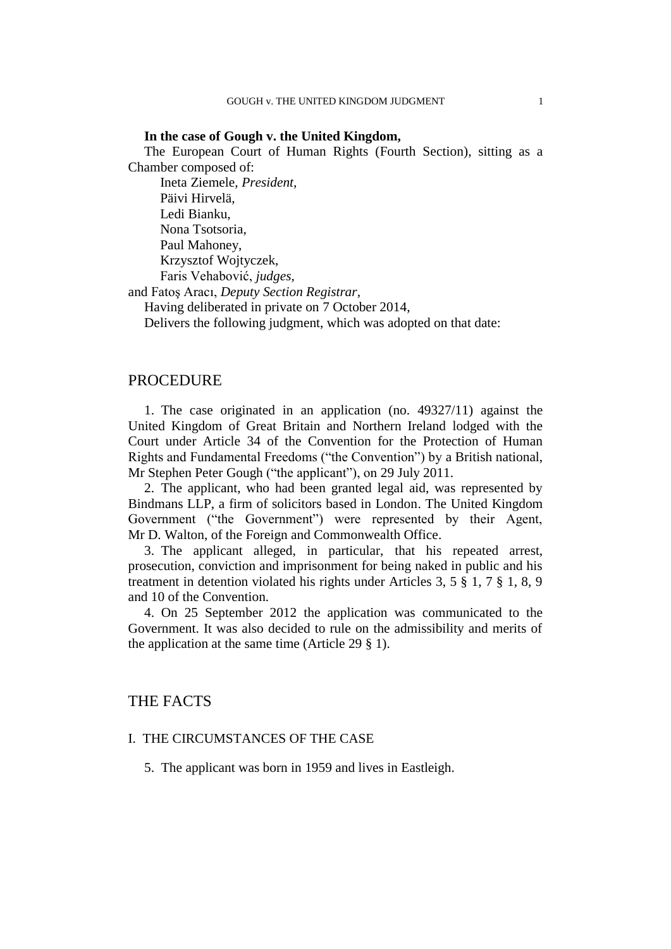## **In the case of Gough v. the United Kingdom,**

The European Court of Human Rights (Fourth Section), sitting as a Chamber composed of:

Ineta Ziemele, *President,* Päivi Hirvelä, Ledi Bianku, Nona Tsotsoria, Paul Mahoney, Krzysztof Wojtyczek, Faris Vehabović, *judges,*

and Fatoş Aracı, *Deputy Section Registrar,*

Having deliberated in private on 7 October 2014,

Delivers the following judgment, which was adopted on that date:

## PROCEDURE

1. The case originated in an application (no. 49327/11) against the United Kingdom of Great Britain and Northern Ireland lodged with the Court under Article 34 of the Convention for the Protection of Human Rights and Fundamental Freedoms ("the Convention") by a British national, Mr Stephen Peter Gough ("the applicant"), on 29 July 2011.

2. The applicant, who had been granted legal aid, was represented by Bindmans LLP, a firm of solicitors based in London. The United Kingdom Government ("the Government") were represented by their Agent, Mr D. Walton, of the Foreign and Commonwealth Office.

3. The applicant alleged, in particular, that his repeated arrest, prosecution, conviction and imprisonment for being naked in public and his treatment in detention violated his rights under Articles 3, 5 § 1, 7 § 1, 8, 9 and 10 of the Convention.

4. On 25 September 2012 the application was communicated to the Government. It was also decided to rule on the admissibility and merits of the application at the same time (Article 29 § 1).

## THE FACTS

## I. THE CIRCUMSTANCES OF THE CASE

5. The applicant was born in 1959 and lives in Eastleigh.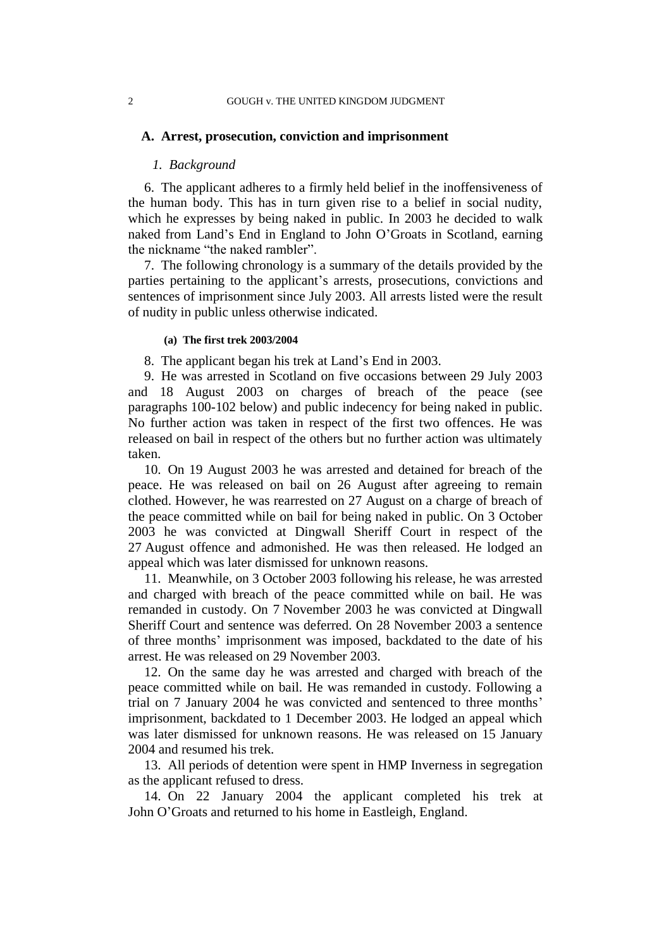#### **A. Arrest, prosecution, conviction and imprisonment**

### *1. Background*

6. The applicant adheres to a firmly held belief in the inoffensiveness of the human body. This has in turn given rise to a belief in social nudity, which he expresses by being naked in public. In 2003 he decided to walk naked from Land's End in England to John O'Groats in Scotland, earning the nickname "the naked rambler".

7. The following chronology is a summary of the details provided by the parties pertaining to the applicant's arrests, prosecutions, convictions and sentences of imprisonment since July 2003. All arrests listed were the result of nudity in public unless otherwise indicated.

#### **(a) The first trek 2003/2004**

8. The applicant began his trek at Land's End in 2003.

<span id="page-3-0"></span>9. He was arrested in Scotland on five occasions between 29 July 2003 and 18 August 2003 on charges of breach of the peace (see paragraphs [100-](#page-15-0)[102](#page-15-1) below) and public indecency for being naked in public. No further action was taken in respect of the first two offences. He was released on bail in respect of the others but no further action was ultimately taken.

<span id="page-3-1"></span>10. On 19 August 2003 he was arrested and detained for breach of the peace. He was released on bail on 26 August after agreeing to remain clothed. However, he was rearrested on 27 August on a charge of breach of the peace committed while on bail for being naked in public. On 3 October 2003 he was convicted at Dingwall Sheriff Court in respect of the 27 August offence and admonished. He was then released. He lodged an appeal which was later dismissed for unknown reasons.

<span id="page-3-2"></span>11. Meanwhile, on 3 October 2003 following his release, he was arrested and charged with breach of the peace committed while on bail. He was remanded in custody. On 7 November 2003 he was convicted at Dingwall Sheriff Court and sentence was deferred. On 28 November 2003 a sentence of three months' imprisonment was imposed, backdated to the date of his arrest. He was released on 29 November 2003.

12. On the same day he was arrested and charged with breach of the peace committed while on bail. He was remanded in custody. Following a trial on 7 January 2004 he was convicted and sentenced to three months' imprisonment, backdated to 1 December 2003. He lodged an appeal which was later dismissed for unknown reasons. He was released on 15 January 2004 and resumed his trek.

13. All periods of detention were spent in HMP Inverness in segregation as the applicant refused to dress.

14. On 22 January 2004 the applicant completed his trek at John O'Groats and returned to his home in Eastleigh, England.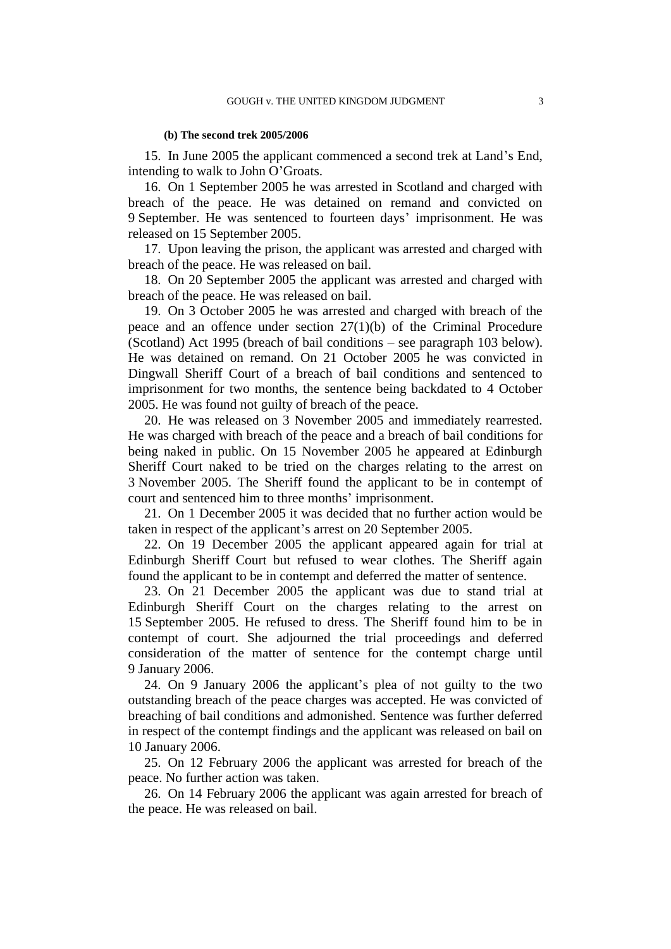#### **(b) The second trek 2005/2006**

15. In June 2005 the applicant commenced a second trek at Land's End, intending to walk to John O'Groats.

<span id="page-4-2"></span>16. On 1 September 2005 he was arrested in Scotland and charged with breach of the peace. He was detained on remand and convicted on 9 September. He was sentenced to fourteen days' imprisonment. He was released on 15 September 2005.

17. Upon leaving the prison, the applicant was arrested and charged with breach of the peace. He was released on bail.

18. On 20 September 2005 the applicant was arrested and charged with breach of the peace. He was released on bail.

<span id="page-4-0"></span>19. On 3 October 2005 he was arrested and charged with breach of the peace and an offence under section 27(1)(b) of the Criminal Procedure (Scotland) Act 1995 (breach of bail conditions – see paragraph [103](#page-15-2) below). He was detained on remand. On 21 October 2005 he was convicted in Dingwall Sheriff Court of a breach of bail conditions and sentenced to imprisonment for two months, the sentence being backdated to 4 October 2005. He was found not guilty of breach of the peace.

20. He was released on 3 November 2005 and immediately rearrested. He was charged with breach of the peace and a breach of bail conditions for being naked in public. On 15 November 2005 he appeared at Edinburgh Sheriff Court naked to be tried on the charges relating to the arrest on 3 November 2005. The Sheriff found the applicant to be in contempt of court and sentenced him to three months' imprisonment.

21. On 1 December 2005 it was decided that no further action would be taken in respect of the applicant's arrest on 20 September 2005.

<span id="page-4-3"></span>22. On 19 December 2005 the applicant appeared again for trial at Edinburgh Sheriff Court but refused to wear clothes. The Sheriff again found the applicant to be in contempt and deferred the matter of sentence.

23. On 21 December 2005 the applicant was due to stand trial at Edinburgh Sheriff Court on the charges relating to the arrest on 15 September 2005. He refused to dress. The Sheriff found him to be in contempt of court. She adjourned the trial proceedings and deferred consideration of the matter of sentence for the contempt charge until 9 January 2006.

<span id="page-4-1"></span>24. On 9 January 2006 the applicant's plea of not guilty to the two outstanding breach of the peace charges was accepted. He was convicted of breaching of bail conditions and admonished. Sentence was further deferred in respect of the contempt findings and the applicant was released on bail on 10 January 2006.

25. On 12 February 2006 the applicant was arrested for breach of the peace. No further action was taken.

26. On 14 February 2006 the applicant was again arrested for breach of the peace. He was released on bail.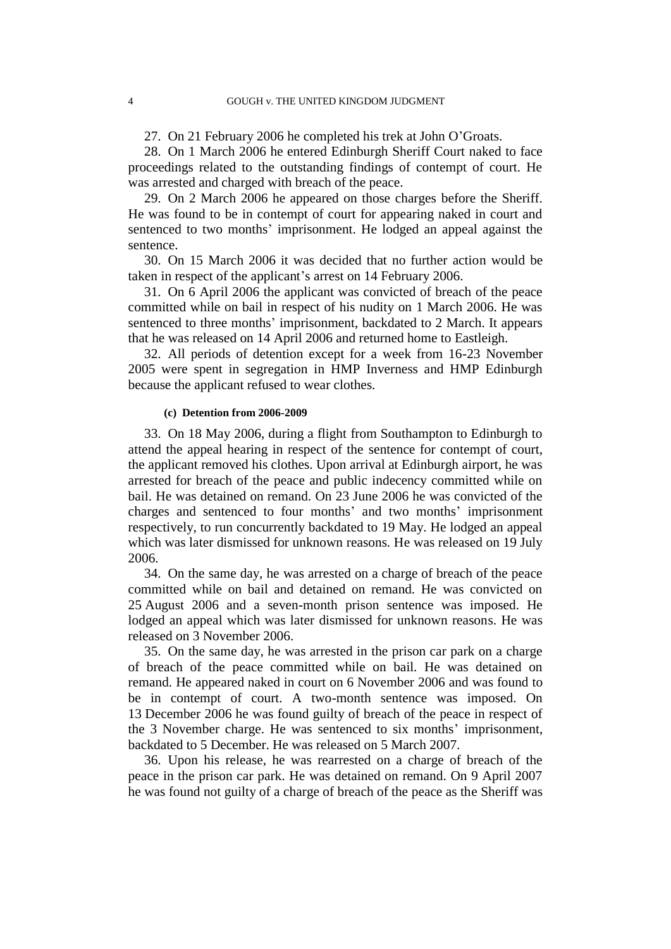27. On 21 February 2006 he completed his trek at John O'Groats.

28. On 1 March 2006 he entered Edinburgh Sheriff Court naked to face proceedings related to the outstanding findings of contempt of court. He was arrested and charged with breach of the peace.

<span id="page-5-2"></span>29. On 2 March 2006 he appeared on those charges before the Sheriff. He was found to be in contempt of court for appearing naked in court and sentenced to two months' imprisonment. He lodged an appeal against the sentence.

30. On 15 March 2006 it was decided that no further action would be taken in respect of the applicant's arrest on 14 February 2006.

<span id="page-5-0"></span>31. On 6 April 2006 the applicant was convicted of breach of the peace committed while on bail in respect of his nudity on 1 March 2006. He was sentenced to three months' imprisonment, backdated to 2 March. It appears that he was released on 14 April 2006 and returned home to Eastleigh.

32. All periods of detention except for a week from 16-23 November 2005 were spent in segregation in HMP Inverness and HMP Edinburgh because the applicant refused to wear clothes.

#### **(c) Detention from 2006-2009**

<span id="page-5-3"></span>33. On 18 May 2006, during a flight from Southampton to Edinburgh to attend the appeal hearing in respect of the sentence for contempt of court, the applicant removed his clothes. Upon arrival at Edinburgh airport, he was arrested for breach of the peace and public indecency committed while on bail. He was detained on remand. On 23 June 2006 he was convicted of the charges and sentenced to four months' and two months' imprisonment respectively, to run concurrently backdated to 19 May. He lodged an appeal which was later dismissed for unknown reasons. He was released on 19 July 2006.

34. On the same day, he was arrested on a charge of breach of the peace committed while on bail and detained on remand. He was convicted on 25 August 2006 and a seven-month prison sentence was imposed. He lodged an appeal which was later dismissed for unknown reasons. He was released on 3 November 2006.

35. On the same day, he was arrested in the prison car park on a charge of breach of the peace committed while on bail. He was detained on remand. He appeared naked in court on 6 November 2006 and was found to be in contempt of court. A two-month sentence was imposed. On 13 December 2006 he was found guilty of breach of the peace in respect of the 3 November charge. He was sentenced to six months' imprisonment, backdated to 5 December. He was released on 5 March 2007.

<span id="page-5-1"></span>36. Upon his release, he was rearrested on a charge of breach of the peace in the prison car park. He was detained on remand. On 9 April 2007 he was found not guilty of a charge of breach of the peace as the Sheriff was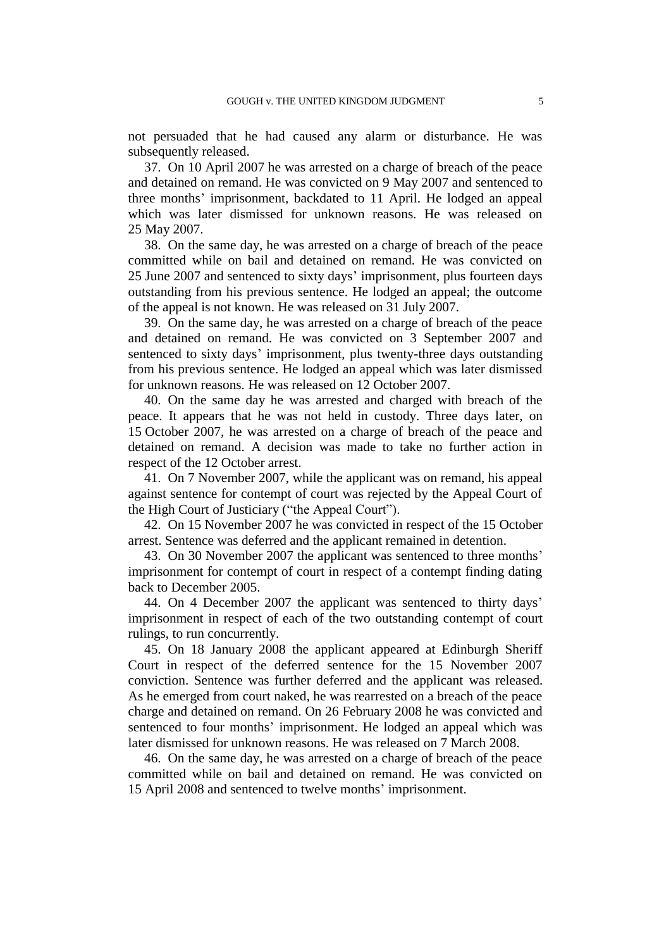not persuaded that he had caused any alarm or disturbance. He was subsequently released.

37. On 10 April 2007 he was arrested on a charge of breach of the peace and detained on remand. He was convicted on 9 May 2007 and sentenced to three months' imprisonment, backdated to 11 April. He lodged an appeal which was later dismissed for unknown reasons. He was released on 25 May 2007.

38. On the same day, he was arrested on a charge of breach of the peace committed while on bail and detained on remand. He was convicted on 25 June 2007 and sentenced to sixty days' imprisonment, plus fourteen days outstanding from his previous sentence. He lodged an appeal; the outcome of the appeal is not known. He was released on 31 July 2007.

39. On the same day, he was arrested on a charge of breach of the peace and detained on remand. He was convicted on 3 September 2007 and sentenced to sixty days' imprisonment, plus twenty-three days outstanding from his previous sentence. He lodged an appeal which was later dismissed for unknown reasons. He was released on 12 October 2007.

40. On the same day he was arrested and charged with breach of the peace. It appears that he was not held in custody. Three days later, on 15 October 2007, he was arrested on a charge of breach of the peace and detained on remand. A decision was made to take no further action in respect of the 12 October arrest.

41. On 7 November 2007, while the applicant was on remand, his appeal against sentence for contempt of court was rejected by the Appeal Court of the High Court of Justiciary ("the Appeal Court").

42. On 15 November 2007 he was convicted in respect of the 15 October arrest. Sentence was deferred and the applicant remained in detention.

43. On 30 November 2007 the applicant was sentenced to three months' imprisonment for contempt of court in respect of a contempt finding dating back to December 2005.

44. On 4 December 2007 the applicant was sentenced to thirty days' imprisonment in respect of each of the two outstanding contempt of court rulings, to run concurrently.

45. On 18 January 2008 the applicant appeared at Edinburgh Sheriff Court in respect of the deferred sentence for the 15 November 2007 conviction. Sentence was further deferred and the applicant was released. As he emerged from court naked, he was rearrested on a breach of the peace charge and detained on remand. On 26 February 2008 he was convicted and sentenced to four months' imprisonment. He lodged an appeal which was later dismissed for unknown reasons. He was released on 7 March 2008.

46. On the same day, he was arrested on a charge of breach of the peace committed while on bail and detained on remand. He was convicted on 15 April 2008 and sentenced to twelve months' imprisonment.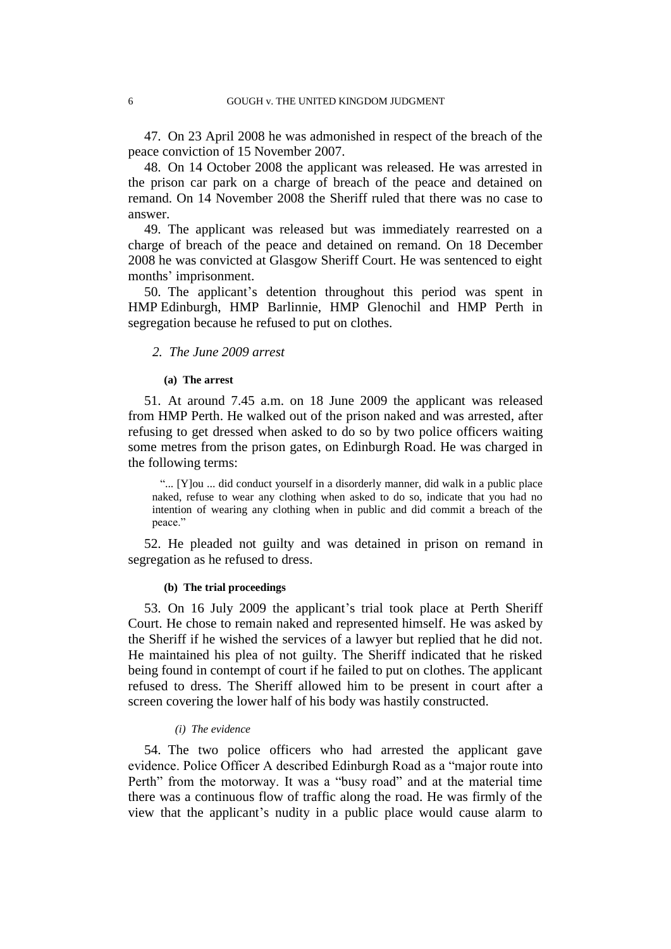47. On 23 April 2008 he was admonished in respect of the breach of the peace conviction of 15 November 2007.

<span id="page-7-1"></span>48. On 14 October 2008 the applicant was released. He was arrested in the prison car park on a charge of breach of the peace and detained on remand. On 14 November 2008 the Sheriff ruled that there was no case to answer.

49. The applicant was released but was immediately rearrested on a charge of breach of the peace and detained on remand. On 18 December 2008 he was convicted at Glasgow Sheriff Court. He was sentenced to eight months' imprisonment.

50. The applicant's detention throughout this period was spent in HMP Edinburgh, HMP Barlinnie, HMP Glenochil and HMP Perth in segregation because he refused to put on clothes.

## *2. The June 2009 arrest*

#### **(a) The arrest**

51. At around 7.45 a.m. on 18 June 2009 the applicant was released from HMP Perth. He walked out of the prison naked and was arrested, after refusing to get dressed when asked to do so by two police officers waiting some metres from the prison gates, on Edinburgh Road. He was charged in the following terms:

"... [Y]ou ... did conduct yourself in a disorderly manner, did walk in a public place naked, refuse to wear any clothing when asked to do so, indicate that you had no intention of wearing any clothing when in public and did commit a breach of the peace."

52. He pleaded not guilty and was detained in prison on remand in segregation as he refused to dress.

## **(b) The trial proceedings**

<span id="page-7-2"></span>53. On 16 July 2009 the applicant's trial took place at Perth Sheriff Court. He chose to remain naked and represented himself. He was asked by the Sheriff if he wished the services of a lawyer but replied that he did not. He maintained his plea of not guilty. The Sheriff indicated that he risked being found in contempt of court if he failed to put on clothes. The applicant refused to dress. The Sheriff allowed him to be present in court after a screen covering the lower half of his body was hastily constructed.

#### *(i) The evidence*

<span id="page-7-0"></span>54. The two police officers who had arrested the applicant gave evidence. Police Officer A described Edinburgh Road as a "major route into Perth" from the motorway. It was a "busy road" and at the material time there was a continuous flow of traffic along the road. He was firmly of the view that the applicant's nudity in a public place would cause alarm to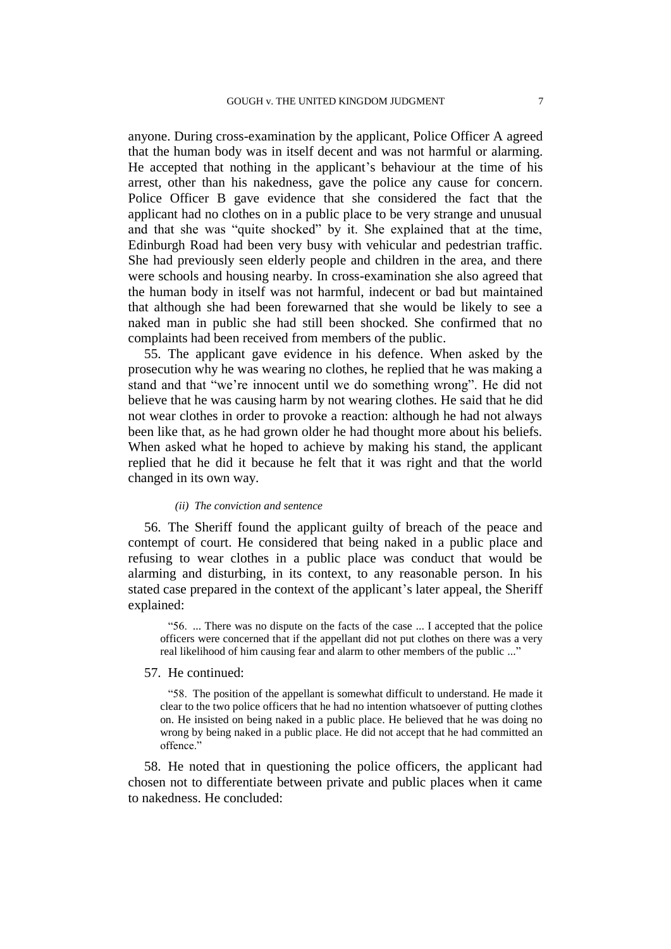anyone. During cross-examination by the applicant, Police Officer A agreed that the human body was in itself decent and was not harmful or alarming. He accepted that nothing in the applicant's behaviour at the time of his arrest, other than his nakedness, gave the police any cause for concern. Police Officer B gave evidence that she considered the fact that the applicant had no clothes on in a public place to be very strange and unusual and that she was "quite shocked" by it. She explained that at the time, Edinburgh Road had been very busy with vehicular and pedestrian traffic. She had previously seen elderly people and children in the area, and there were schools and housing nearby. In cross-examination she also agreed that the human body in itself was not harmful, indecent or bad but maintained that although she had been forewarned that she would be likely to see a naked man in public she had still been shocked. She confirmed that no complaints had been received from members of the public.

<span id="page-8-0"></span>55. The applicant gave evidence in his defence. When asked by the prosecution why he was wearing no clothes, he replied that he was making a stand and that "we're innocent until we do something wrong". He did not believe that he was causing harm by not wearing clothes. He said that he did not wear clothes in order to provoke a reaction: although he had not always been like that, as he had grown older he had thought more about his beliefs. When asked what he hoped to achieve by making his stand, the applicant replied that he did it because he felt that it was right and that the world changed in its own way.

#### *(ii) The conviction and sentence*

56. The Sheriff found the applicant guilty of breach of the peace and contempt of court. He considered that being naked in a public place and refusing to wear clothes in a public place was conduct that would be alarming and disturbing, in its context, to any reasonable person. In his stated case prepared in the context of the applicant's later appeal, the Sheriff explained:

"56. ... There was no dispute on the facts of the case ... I accepted that the police officers were concerned that if the appellant did not put clothes on there was a very real likelihood of him causing fear and alarm to other members of the public ..."

#### 57. He continued:

"58. The position of the appellant is somewhat difficult to understand. He made it clear to the two police officers that he had no intention whatsoever of putting clothes on. He insisted on being naked in a public place. He believed that he was doing no wrong by being naked in a public place. He did not accept that he had committed an offence."

58. He noted that in questioning the police officers, the applicant had chosen not to differentiate between private and public places when it came to nakedness. He concluded: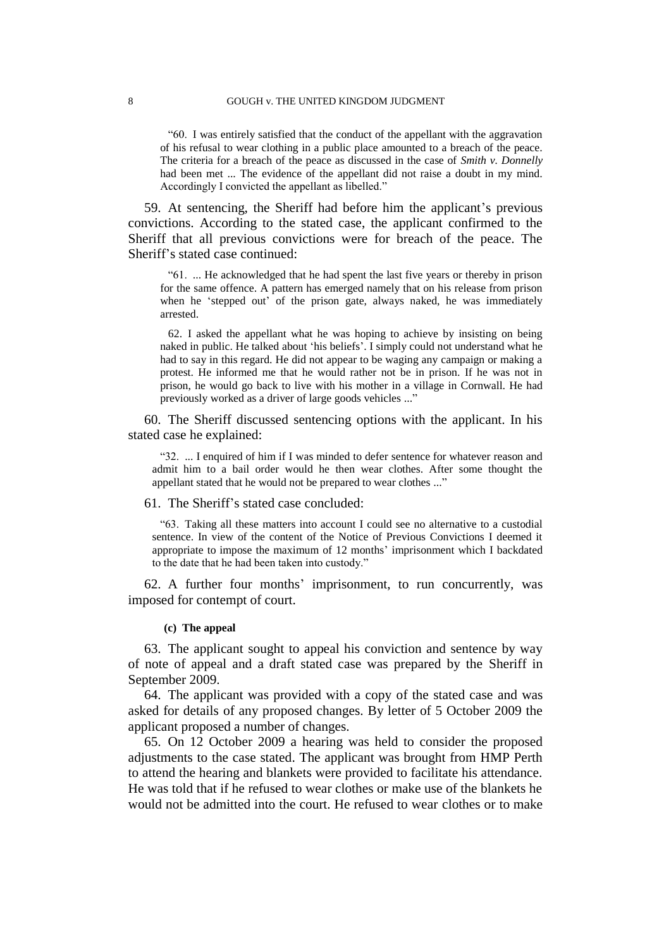"60. I was entirely satisfied that the conduct of the appellant with the aggravation of his refusal to wear clothing in a public place amounted to a breach of the peace. The criteria for a breach of the peace as discussed in the case of *Smith v. Donnelly* had been met ... The evidence of the appellant did not raise a doubt in my mind. Accordingly I convicted the appellant as libelled."

59. At sentencing, the Sheriff had before him the applicant's previous convictions. According to the stated case, the applicant confirmed to the Sheriff that all previous convictions were for breach of the peace. The Sheriff's stated case continued:

"61. ... He acknowledged that he had spent the last five years or thereby in prison for the same offence. A pattern has emerged namely that on his release from prison when he 'stepped out' of the prison gate, always naked, he was immediately arrested.

62. I asked the appellant what he was hoping to achieve by insisting on being naked in public. He talked about 'his beliefs'. I simply could not understand what he had to say in this regard. He did not appear to be waging any campaign or making a protest. He informed me that he would rather not be in prison. If he was not in prison, he would go back to live with his mother in a village in Cornwall. He had previously worked as a driver of large goods vehicles ..."

<span id="page-9-0"></span>60. The Sheriff discussed sentencing options with the applicant. In his stated case he explained:

"32. ... I enquired of him if I was minded to defer sentence for whatever reason and admit him to a bail order would he then wear clothes. After some thought the appellant stated that he would not be prepared to wear clothes ..."

<span id="page-9-1"></span>61. The Sheriff's stated case concluded:

"63. Taking all these matters into account I could see no alternative to a custodial sentence. In view of the content of the Notice of Previous Convictions I deemed it appropriate to impose the maximum of 12 months' imprisonment which I backdated to the date that he had been taken into custody."

62. A further four months' imprisonment, to run concurrently, was imposed for contempt of court.

## **(c) The appeal**

63. The applicant sought to appeal his conviction and sentence by way of note of appeal and a draft stated case was prepared by the Sheriff in September 2009.

64. The applicant was provided with a copy of the stated case and was asked for details of any proposed changes. By letter of 5 October 2009 the applicant proposed a number of changes.

65. On 12 October 2009 a hearing was held to consider the proposed adjustments to the case stated. The applicant was brought from HMP Perth to attend the hearing and blankets were provided to facilitate his attendance. He was told that if he refused to wear clothes or make use of the blankets he would not be admitted into the court. He refused to wear clothes or to make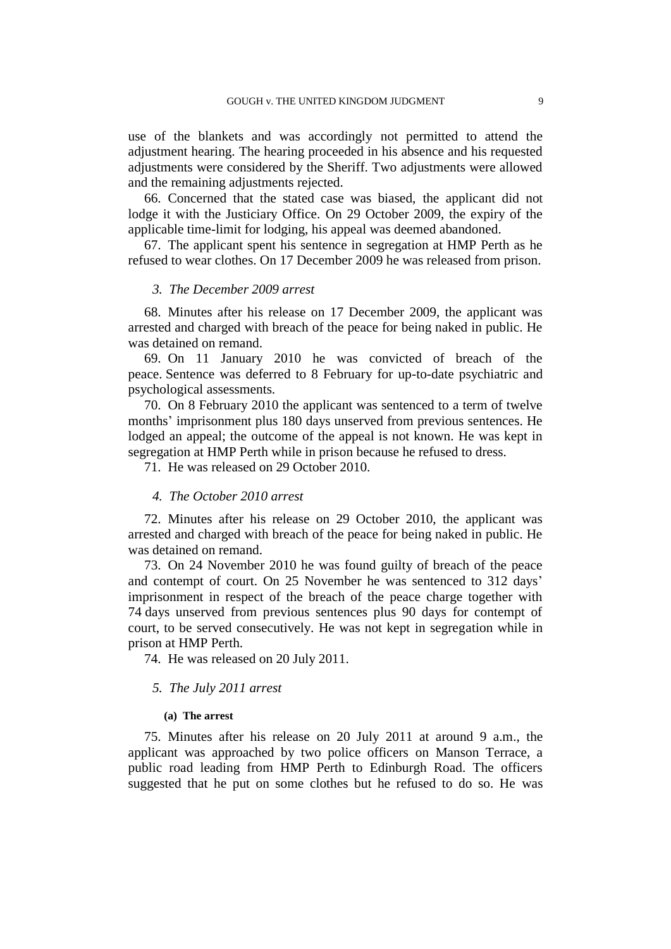use of the blankets and was accordingly not permitted to attend the adjustment hearing. The hearing proceeded in his absence and his requested adjustments were considered by the Sheriff. Two adjustments were allowed and the remaining adjustments rejected.

66. Concerned that the stated case was biased, the applicant did not lodge it with the Justiciary Office. On 29 October 2009, the expiry of the applicable time-limit for lodging, his appeal was deemed abandoned.

67. The applicant spent his sentence in segregation at HMP Perth as he refused to wear clothes. On 17 December 2009 he was released from prison.

## *3. The December 2009 arrest*

68. Minutes after his release on 17 December 2009, the applicant was arrested and charged with breach of the peace for being naked in public. He was detained on remand.

69. On 11 January 2010 he was convicted of breach of the peace. Sentence was deferred to 8 February for up-to-date psychiatric and psychological assessments.

70. On 8 February 2010 the applicant was sentenced to a term of twelve months' imprisonment plus 180 days unserved from previous sentences. He lodged an appeal; the outcome of the appeal is not known. He was kept in segregation at HMP Perth while in prison because he refused to dress.

71. He was released on 29 October 2010.

#### *4. The October 2010 arrest*

72. Minutes after his release on 29 October 2010, the applicant was arrested and charged with breach of the peace for being naked in public. He was detained on remand.

73. On 24 November 2010 he was found guilty of breach of the peace and contempt of court. On 25 November he was sentenced to 312 days' imprisonment in respect of the breach of the peace charge together with 74 days unserved from previous sentences plus 90 days for contempt of court, to be served consecutively. He was not kept in segregation while in prison at HMP Perth.

74. He was released on 20 July 2011.

## *5. The July 2011 arrest*

#### **(a) The arrest**

<span id="page-10-0"></span>75. Minutes after his release on 20 July 2011 at around 9 a.m., the applicant was approached by two police officers on Manson Terrace, a public road leading from HMP Perth to Edinburgh Road. The officers suggested that he put on some clothes but he refused to do so. He was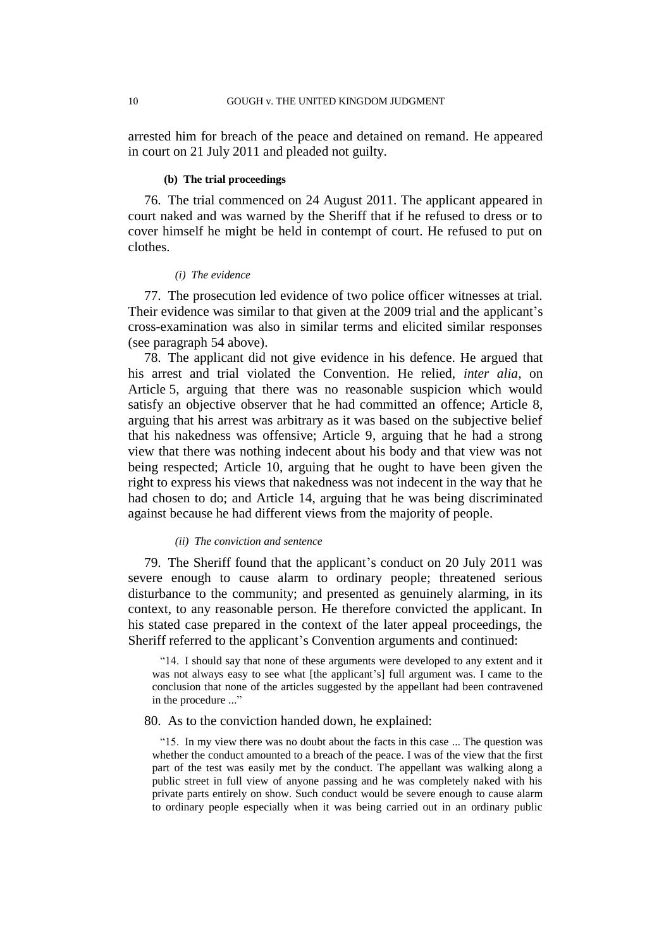arrested him for breach of the peace and detained on remand. He appeared in court on 21 July 2011 and pleaded not guilty.

#### **(b) The trial proceedings**

<span id="page-11-0"></span>76. The trial commenced on 24 August 2011. The applicant appeared in court naked and was warned by the Sheriff that if he refused to dress or to cover himself he might be held in contempt of court. He refused to put on clothes.

#### *(i) The evidence*

77. The prosecution led evidence of two police officer witnesses at trial. Their evidence was similar to that given at the 2009 trial and the applicant's cross-examination was also in similar terms and elicited similar responses (see paragraph [54](#page-7-0) above).

78. The applicant did not give evidence in his defence. He argued that his arrest and trial violated the Convention. He relied, *inter alia*, on Article 5, arguing that there was no reasonable suspicion which would satisfy an objective observer that he had committed an offence; Article 8, arguing that his arrest was arbitrary as it was based on the subjective belief that his nakedness was offensive; Article 9, arguing that he had a strong view that there was nothing indecent about his body and that view was not being respected; Article 10, arguing that he ought to have been given the right to express his views that nakedness was not indecent in the way that he had chosen to do; and Article 14, arguing that he was being discriminated against because he had different views from the majority of people.

### *(ii) The conviction and sentence*

79. The Sheriff found that the applicant's conduct on 20 July 2011 was severe enough to cause alarm to ordinary people; threatened serious disturbance to the community; and presented as genuinely alarming, in its context, to any reasonable person. He therefore convicted the applicant. In his stated case prepared in the context of the later appeal proceedings, the Sheriff referred to the applicant's Convention arguments and continued:

<span id="page-11-1"></span>"14. I should say that none of these arguments were developed to any extent and it was not always easy to see what [the applicant's] full argument was. I came to the conclusion that none of the articles suggested by the appellant had been contravened in the procedure ..."

## 80. As to the conviction handed down, he explained:

"15. In my view there was no doubt about the facts in this case ... The question was whether the conduct amounted to a breach of the peace. I was of the view that the first part of the test was easily met by the conduct. The appellant was walking along a public street in full view of anyone passing and he was completely naked with his private parts entirely on show. Such conduct would be severe enough to cause alarm to ordinary people especially when it was being carried out in an ordinary public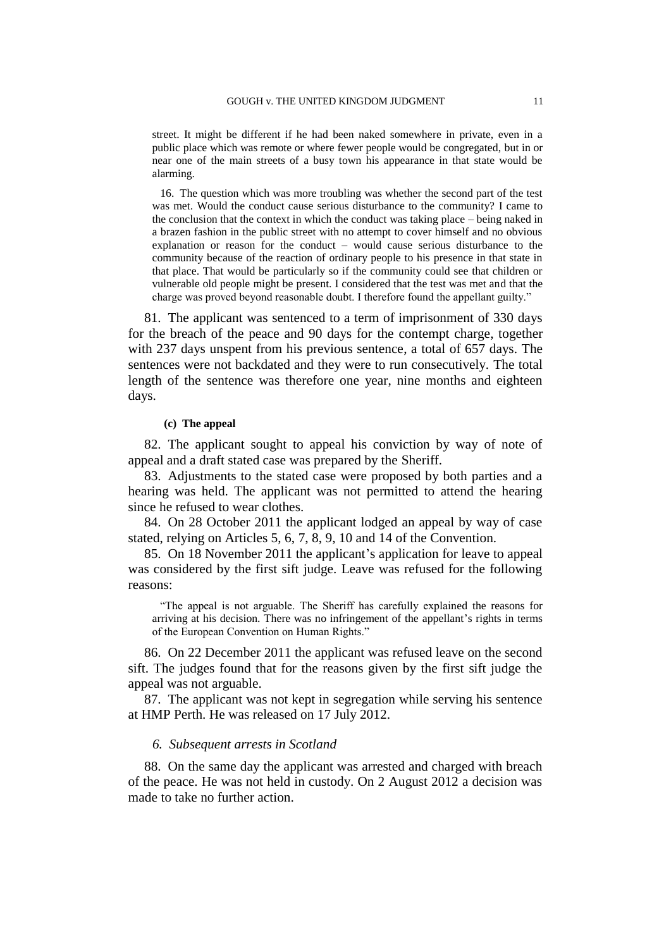street. It might be different if he had been naked somewhere in private, even in a public place which was remote or where fewer people would be congregated, but in or near one of the main streets of a busy town his appearance in that state would be alarming.

16. The question which was more troubling was whether the second part of the test was met. Would the conduct cause serious disturbance to the community? I came to the conclusion that the context in which the conduct was taking place – being naked in a brazen fashion in the public street with no attempt to cover himself and no obvious explanation or reason for the conduct – would cause serious disturbance to the community because of the reaction of ordinary people to his presence in that state in that place. That would be particularly so if the community could see that children or vulnerable old people might be present. I considered that the test was met and that the charge was proved beyond reasonable doubt. I therefore found the appellant guilty."

<span id="page-12-2"></span>81. The applicant was sentenced to a term of imprisonment of 330 days for the breach of the peace and 90 days for the contempt charge, together with 237 days unspent from his previous sentence, a total of 657 days. The sentences were not backdated and they were to run consecutively. The total length of the sentence was therefore one year, nine months and eighteen days.

#### **(c) The appeal**

82. The applicant sought to appeal his conviction by way of note of appeal and a draft stated case was prepared by the Sheriff.

83. Adjustments to the stated case were proposed by both parties and a hearing was held. The applicant was not permitted to attend the hearing since he refused to wear clothes.

<span id="page-12-0"></span>84. On 28 October 2011 the applicant lodged an appeal by way of case stated, relying on Articles 5, 6, 7, 8, 9, 10 and 14 of the Convention.

85. On 18 November 2011 the applicant's application for leave to appeal was considered by the first sift judge. Leave was refused for the following reasons:

"The appeal is not arguable. The Sheriff has carefully explained the reasons for arriving at his decision. There was no infringement of the appellant's rights in terms of the European Convention on Human Rights."

<span id="page-12-1"></span>86. On 22 December 2011 the applicant was refused leave on the second sift. The judges found that for the reasons given by the first sift judge the appeal was not arguable.

87. The applicant was not kept in segregation while serving his sentence at HMP Perth. He was released on 17 July 2012.

#### *6. Subsequent arrests in Scotland*

88. On the same day the applicant was arrested and charged with breach of the peace. He was not held in custody. On 2 August 2012 a decision was made to take no further action.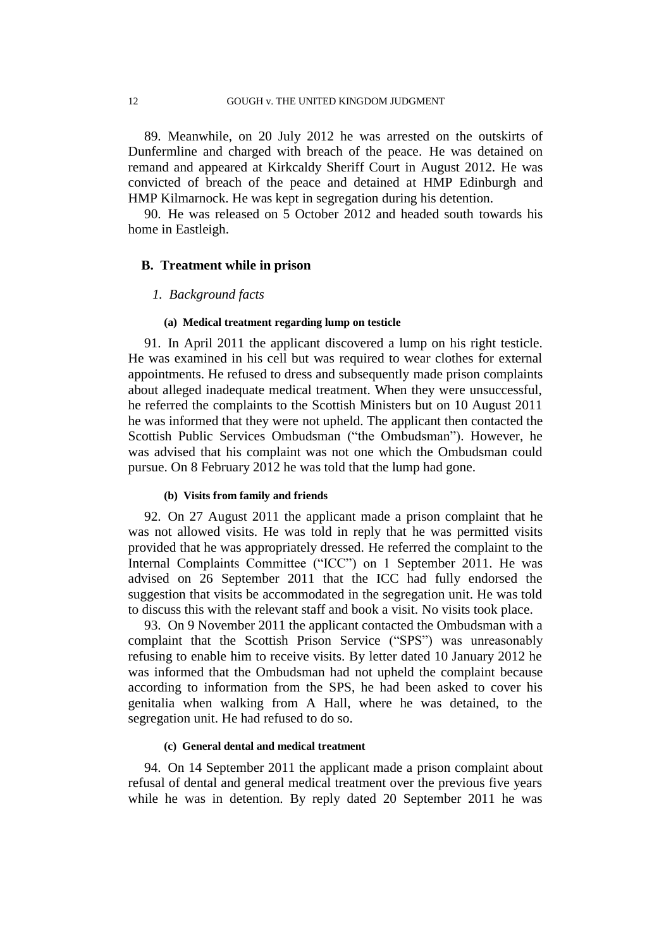89. Meanwhile, on 20 July 2012 he was arrested on the outskirts of Dunfermline and charged with breach of the peace. He was detained on remand and appeared at Kirkcaldy Sheriff Court in August 2012. He was convicted of breach of the peace and detained at HMP Edinburgh and HMP Kilmarnock. He was kept in segregation during his detention.

90. He was released on 5 October 2012 and headed south towards his home in Eastleigh.

## **B. Treatment while in prison**

## *1. Background facts*

#### **(a) Medical treatment regarding lump on testicle**

91. In April 2011 the applicant discovered a lump on his right testicle. He was examined in his cell but was required to wear clothes for external appointments. He refused to dress and subsequently made prison complaints about alleged inadequate medical treatment. When they were unsuccessful, he referred the complaints to the Scottish Ministers but on 10 August 2011 he was informed that they were not upheld. The applicant then contacted the Scottish Public Services Ombudsman ("the Ombudsman"). However, he was advised that his complaint was not one which the Ombudsman could pursue. On 8 February 2012 he was told that the lump had gone.

#### **(b) Visits from family and friends**

92. On 27 August 2011 the applicant made a prison complaint that he was not allowed visits. He was told in reply that he was permitted visits provided that he was appropriately dressed. He referred the complaint to the Internal Complaints Committee ("ICC") on 1 September 2011. He was advised on 26 September 2011 that the ICC had fully endorsed the suggestion that visits be accommodated in the segregation unit. He was told to discuss this with the relevant staff and book a visit. No visits took place.

<span id="page-13-0"></span>93. On 9 November 2011 the applicant contacted the Ombudsman with a complaint that the Scottish Prison Service ("SPS") was unreasonably refusing to enable him to receive visits. By letter dated 10 January 2012 he was informed that the Ombudsman had not upheld the complaint because according to information from the SPS, he had been asked to cover his genitalia when walking from A Hall, where he was detained, to the segregation unit. He had refused to do so.

### **(c) General dental and medical treatment**

94. On 14 September 2011 the applicant made a prison complaint about refusal of dental and general medical treatment over the previous five years while he was in detention. By reply dated 20 September 2011 he was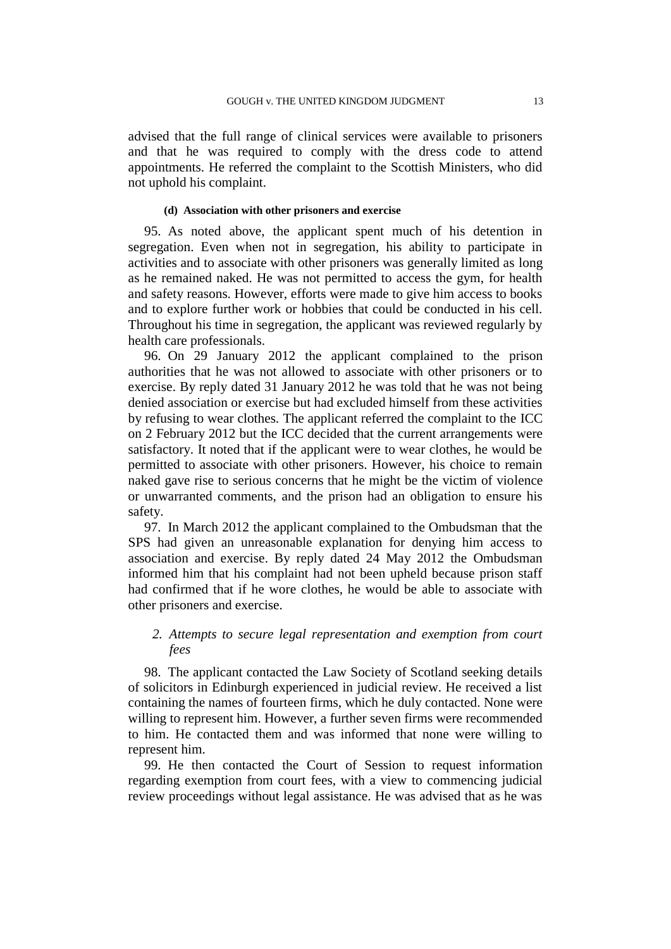advised that the full range of clinical services were available to prisoners and that he was required to comply with the dress code to attend appointments. He referred the complaint to the Scottish Ministers, who did not uphold his complaint.

## **(d) Association with other prisoners and exercise**

95. As noted above, the applicant spent much of his detention in segregation. Even when not in segregation, his ability to participate in activities and to associate with other prisoners was generally limited as long as he remained naked. He was not permitted to access the gym, for health and safety reasons. However, efforts were made to give him access to books and to explore further work or hobbies that could be conducted in his cell. Throughout his time in segregation, the applicant was reviewed regularly by health care professionals.

96. On 29 January 2012 the applicant complained to the prison authorities that he was not allowed to associate with other prisoners or to exercise. By reply dated 31 January 2012 he was told that he was not being denied association or exercise but had excluded himself from these activities by refusing to wear clothes. The applicant referred the complaint to the ICC on 2 February 2012 but the ICC decided that the current arrangements were satisfactory. It noted that if the applicant were to wear clothes, he would be permitted to associate with other prisoners. However, his choice to remain naked gave rise to serious concerns that he might be the victim of violence or unwarranted comments, and the prison had an obligation to ensure his safety.

97. In March 2012 the applicant complained to the Ombudsman that the SPS had given an unreasonable explanation for denying him access to association and exercise. By reply dated 24 May 2012 the Ombudsman informed him that his complaint had not been upheld because prison staff had confirmed that if he wore clothes, he would be able to associate with other prisoners and exercise.

## *2. Attempts to secure legal representation and exemption from court fees*

98. The applicant contacted the Law Society of Scotland seeking details of solicitors in Edinburgh experienced in judicial review. He received a list containing the names of fourteen firms, which he duly contacted. None were willing to represent him. However, a further seven firms were recommended to him. He contacted them and was informed that none were willing to represent him.

99. He then contacted the Court of Session to request information regarding exemption from court fees, with a view to commencing judicial review proceedings without legal assistance. He was advised that as he was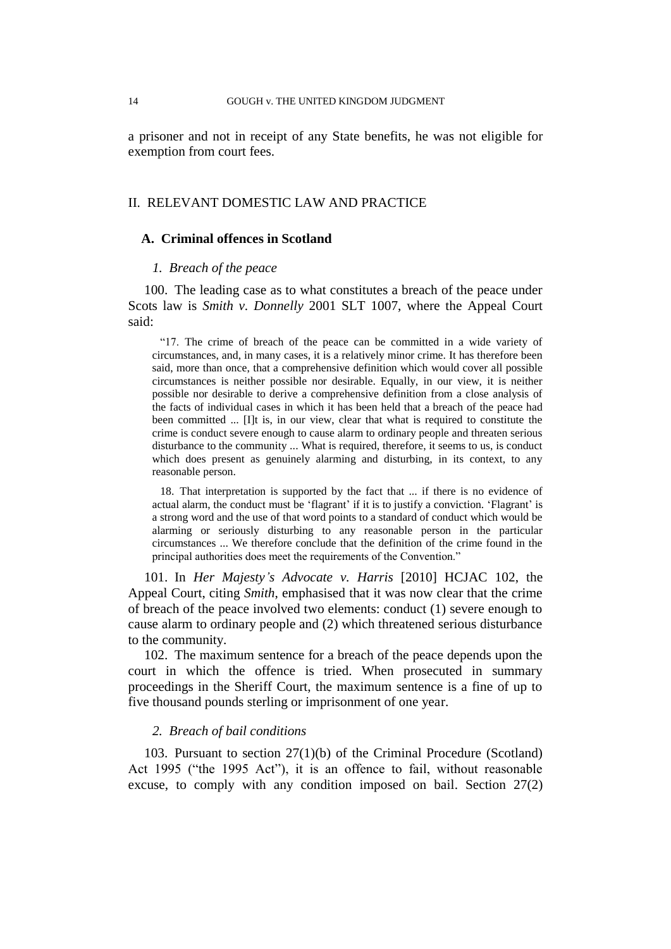a prisoner and not in receipt of any State benefits, he was not eligible for exemption from court fees.

## II. RELEVANT DOMESTIC LAW AND PRACTICE

#### **A. Criminal offences in Scotland**

#### *1. Breach of the peace*

<span id="page-15-0"></span>100. The leading case as to what constitutes a breach of the peace under Scots law is *Smith v. Donnelly* 2001 SLT 1007, where the Appeal Court said:

"17. The crime of breach of the peace can be committed in a wide variety of circumstances, and, in many cases, it is a relatively minor crime. It has therefore been said, more than once, that a comprehensive definition which would cover all possible circumstances is neither possible nor desirable. Equally, in our view, it is neither possible nor desirable to derive a comprehensive definition from a close analysis of the facts of individual cases in which it has been held that a breach of the peace had been committed ... [I]t is, in our view, clear that what is required to constitute the crime is conduct severe enough to cause alarm to ordinary people and threaten serious disturbance to the community ... What is required, therefore, it seems to us, is conduct which does present as genuinely alarming and disturbing, in its context, to any reasonable person.

18. That interpretation is supported by the fact that ... if there is no evidence of actual alarm, the conduct must be 'flagrant' if it is to justify a conviction. 'Flagrant' is a strong word and the use of that word points to a standard of conduct which would be alarming or seriously disturbing to any reasonable person in the particular circumstances ... We therefore conclude that the definition of the crime found in the principal authorities does meet the requirements of the Convention."

<span id="page-15-3"></span>101. In *Her Majesty's Advocate v. Harris* [2010] HCJAC 102, the Appeal Court, citing *Smith*, emphasised that it was now clear that the crime of breach of the peace involved two elements: conduct (1) severe enough to cause alarm to ordinary people and (2) which threatened serious disturbance to the community.

<span id="page-15-1"></span>102. The maximum sentence for a breach of the peace depends upon the court in which the offence is tried. When prosecuted in summary proceedings in the Sheriff Court, the maximum sentence is a fine of up to five thousand pounds sterling or imprisonment of one year.

### *2. Breach of bail conditions*

<span id="page-15-2"></span>103. Pursuant to section 27(1)(b) of the Criminal Procedure (Scotland) Act 1995 ("the 1995 Act"), it is an offence to fail, without reasonable excuse, to comply with any condition imposed on bail. Section 27(2)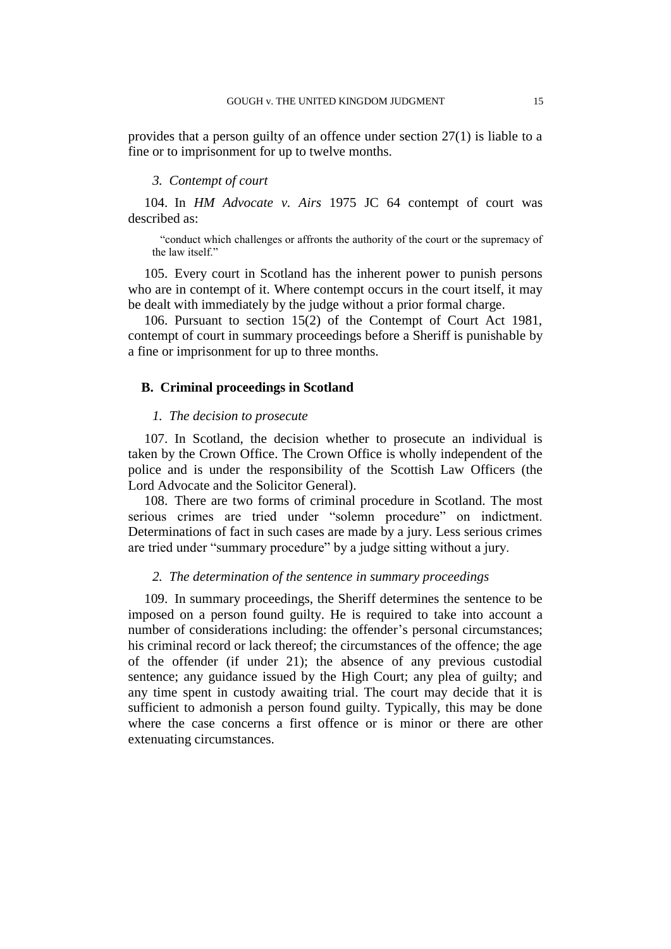provides that a person guilty of an offence under section 27(1) is liable to a fine or to imprisonment for up to twelve months.

## *3. Contempt of court*

104. In *HM Advocate v. Airs* 1975 JC 64 contempt of court was described as:

"conduct which challenges or affronts the authority of the court or the supremacy of the law itself."

105. Every court in Scotland has the inherent power to punish persons who are in contempt of it. Where contempt occurs in the court itself, it may be dealt with immediately by the judge without a prior formal charge.

106. Pursuant to section 15(2) of the Contempt of Court Act 1981, contempt of court in summary proceedings before a Sheriff is punishable by a fine or imprisonment for up to three months.

## **B. Criminal proceedings in Scotland**

## *1. The decision to prosecute*

107. In Scotland, the decision whether to prosecute an individual is taken by the Crown Office. The Crown Office is wholly independent of the police and is under the responsibility of the Scottish Law Officers (the Lord Advocate and the Solicitor General).

108. There are two forms of criminal procedure in Scotland. The most serious crimes are tried under "solemn procedure" on indictment. Determinations of fact in such cases are made by a jury. Less serious crimes are tried under "summary procedure" by a judge sitting without a jury.

## *2. The determination of the sentence in summary proceedings*

109. In summary proceedings, the Sheriff determines the sentence to be imposed on a person found guilty. He is required to take into account a number of considerations including: the offender's personal circumstances; his criminal record or lack thereof; the circumstances of the offence; the age of the offender (if under 21); the absence of any previous custodial sentence; any guidance issued by the High Court; any plea of guilty; and any time spent in custody awaiting trial. The court may decide that it is sufficient to admonish a person found guilty. Typically, this may be done where the case concerns a first offence or is minor or there are other extenuating circumstances.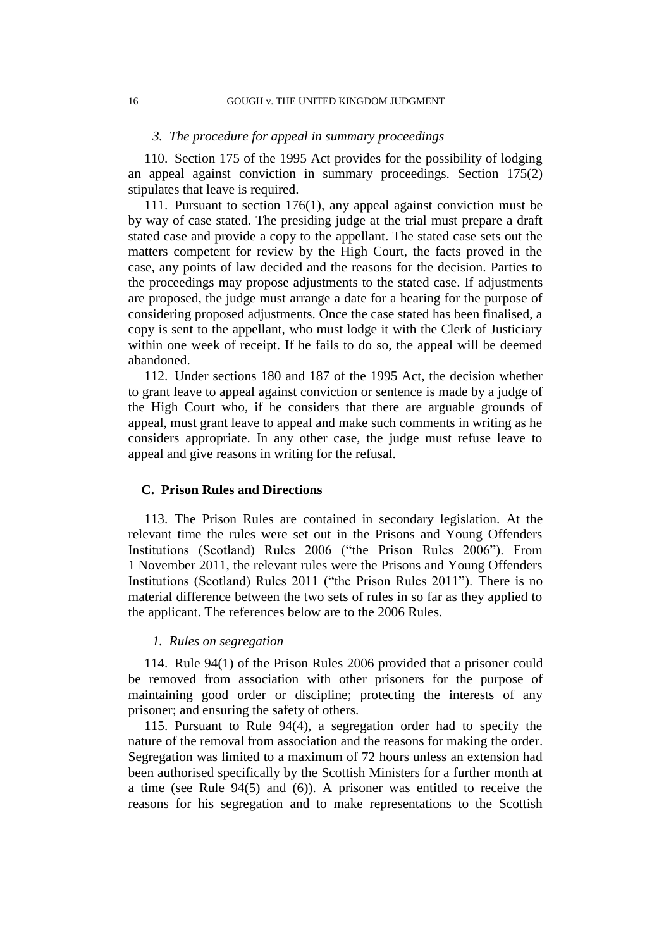#### *3. The procedure for appeal in summary proceedings*

110. Section 175 of the 1995 Act provides for the possibility of lodging an appeal against conviction in summary proceedings. Section 175(2) stipulates that leave is required.

111. Pursuant to section 176(1), any appeal against conviction must be by way of case stated. The presiding judge at the trial must prepare a draft stated case and provide a copy to the appellant. The stated case sets out the matters competent for review by the High Court, the facts proved in the case, any points of law decided and the reasons for the decision. Parties to the proceedings may propose adjustments to the stated case. If adjustments are proposed, the judge must arrange a date for a hearing for the purpose of considering proposed adjustments. Once the case stated has been finalised, a copy is sent to the appellant, who must lodge it with the Clerk of Justiciary within one week of receipt. If he fails to do so, the appeal will be deemed abandoned.

112. Under sections 180 and 187 of the 1995 Act, the decision whether to grant leave to appeal against conviction or sentence is made by a judge of the High Court who, if he considers that there are arguable grounds of appeal, must grant leave to appeal and make such comments in writing as he considers appropriate. In any other case, the judge must refuse leave to appeal and give reasons in writing for the refusal.

### **C. Prison Rules and Directions**

113. The Prison Rules are contained in secondary legislation. At the relevant time the rules were set out in the Prisons and Young Offenders Institutions (Scotland) Rules 2006 ("the Prison Rules 2006"). From 1 November 2011, the relevant rules were the Prisons and Young Offenders Institutions (Scotland) Rules 2011 ("the Prison Rules 2011"). There is no material difference between the two sets of rules in so far as they applied to the applicant. The references below are to the 2006 Rules.

### *1. Rules on segregation*

114. Rule 94(1) of the Prison Rules 2006 provided that a prisoner could be removed from association with other prisoners for the purpose of maintaining good order or discipline; protecting the interests of any prisoner; and ensuring the safety of others.

115. Pursuant to Rule 94(4), a segregation order had to specify the nature of the removal from association and the reasons for making the order. Segregation was limited to a maximum of 72 hours unless an extension had been authorised specifically by the Scottish Ministers for a further month at a time (see Rule 94(5) and (6)). A prisoner was entitled to receive the reasons for his segregation and to make representations to the Scottish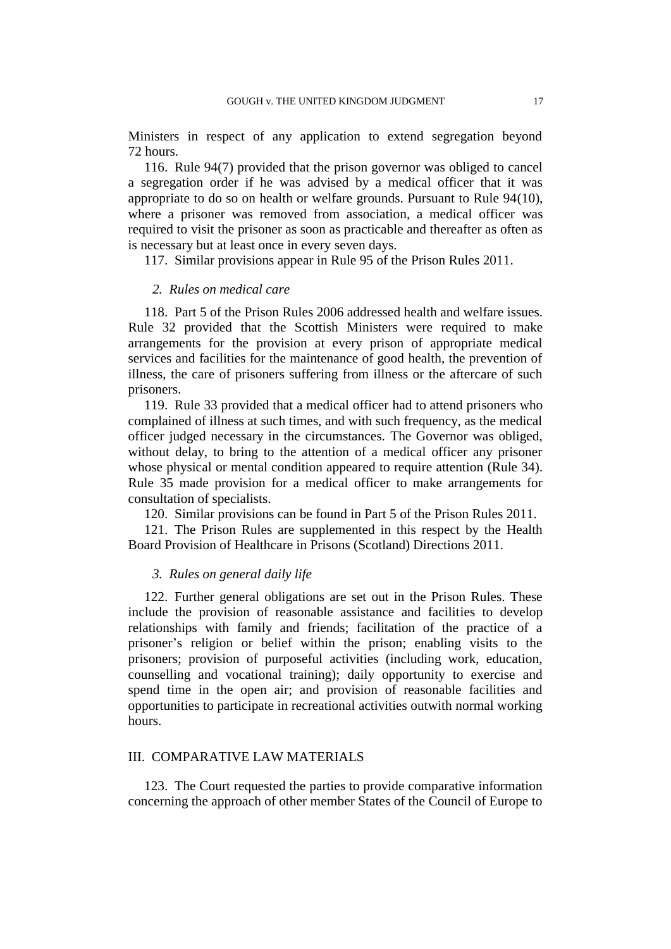Ministers in respect of any application to extend segregation beyond 72 hours.

116. Rule 94(7) provided that the prison governor was obliged to cancel a segregation order if he was advised by a medical officer that it was appropriate to do so on health or welfare grounds. Pursuant to Rule 94(10), where a prisoner was removed from association, a medical officer was required to visit the prisoner as soon as practicable and thereafter as often as is necessary but at least once in every seven days.

117. Similar provisions appear in Rule 95 of the Prison Rules 2011.

## *2. Rules on medical care*

118. Part 5 of the Prison Rules 2006 addressed health and welfare issues. Rule 32 provided that the Scottish Ministers were required to make arrangements for the provision at every prison of appropriate medical services and facilities for the maintenance of good health, the prevention of illness, the care of prisoners suffering from illness or the aftercare of such prisoners.

119. Rule 33 provided that a medical officer had to attend prisoners who complained of illness at such times, and with such frequency, as the medical officer judged necessary in the circumstances. The Governor was obliged, without delay, to bring to the attention of a medical officer any prisoner whose physical or mental condition appeared to require attention (Rule 34). Rule 35 made provision for a medical officer to make arrangements for consultation of specialists.

120. Similar provisions can be found in Part 5 of the Prison Rules 2011.

121. The Prison Rules are supplemented in this respect by the Health Board Provision of Healthcare in Prisons (Scotland) Directions 2011.

## *3. Rules on general daily life*

122. Further general obligations are set out in the Prison Rules. These include the provision of reasonable assistance and facilities to develop relationships with family and friends; facilitation of the practice of a prisoner's religion or belief within the prison; enabling visits to the prisoners; provision of purposeful activities (including work, education, counselling and vocational training); daily opportunity to exercise and spend time in the open air; and provision of reasonable facilities and opportunities to participate in recreational activities outwith normal working hours.

## III. COMPARATIVE LAW MATERIALS

<span id="page-18-0"></span>123. The Court requested the parties to provide comparative information concerning the approach of other member States of the Council of Europe to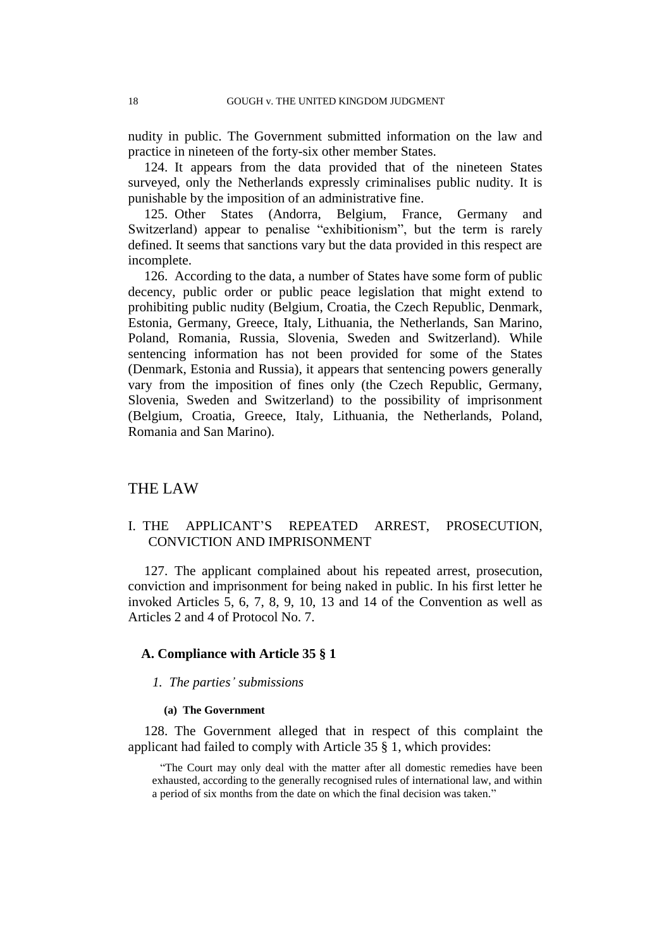nudity in public. The Government submitted information on the law and practice in nineteen of the forty-six other member States.

124. It appears from the data provided that of the nineteen States surveyed, only the Netherlands expressly criminalises public nudity. It is punishable by the imposition of an administrative fine.

125. Other States (Andorra, Belgium, France, Germany and Switzerland) appear to penalise "exhibitionism", but the term is rarely defined. It seems that sanctions vary but the data provided in this respect are incomplete.

<span id="page-19-0"></span>126. According to the data, a number of States have some form of public decency, public order or public peace legislation that might extend to prohibiting public nudity (Belgium, Croatia, the Czech Republic, Denmark, Estonia, Germany, Greece, Italy, Lithuania, the Netherlands, San Marino, Poland, Romania, Russia, Slovenia, Sweden and Switzerland). While sentencing information has not been provided for some of the States (Denmark, Estonia and Russia), it appears that sentencing powers generally vary from the imposition of fines only (the Czech Republic, Germany, Slovenia, Sweden and Switzerland) to the possibility of imprisonment (Belgium, Croatia, Greece, Italy, Lithuania, the Netherlands, Poland, Romania and San Marino).

## THE LAW

## I. THE APPLICANT'S REPEATED ARREST, PROSECUTION, CONVICTION AND IMPRISONMENT

127. The applicant complained about his repeated arrest, prosecution, conviction and imprisonment for being naked in public. In his first letter he invoked Articles 5, 6, 7, 8, 9, 10, 13 and 14 of the Convention as well as Articles 2 and 4 of Protocol No. 7.

### **A. Compliance with Article 35 § 1**

### *1. The parties' submissions*

#### **(a) The Government**

128. The Government alleged that in respect of this complaint the applicant had failed to comply with Article 35 § 1, which provides:

"The Court may only deal with the matter after all domestic remedies have been exhausted, according to the generally recognised rules of international law, and within a period of six months from the date on which the final decision was taken."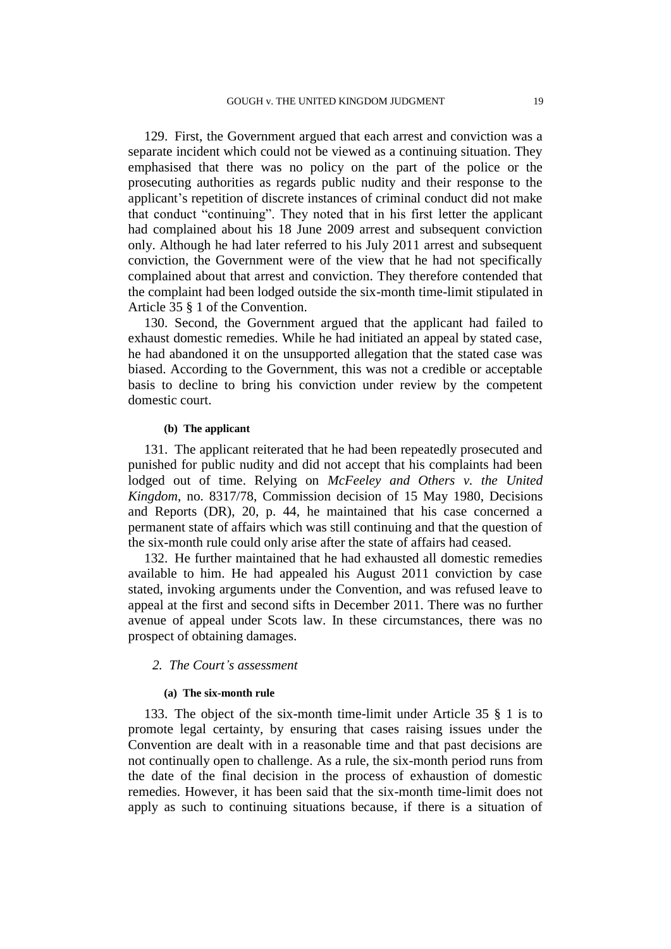129. First, the Government argued that each arrest and conviction was a separate incident which could not be viewed as a continuing situation. They emphasised that there was no policy on the part of the police or the prosecuting authorities as regards public nudity and their response to the applicant's repetition of discrete instances of criminal conduct did not make that conduct "continuing". They noted that in his first letter the applicant had complained about his 18 June 2009 arrest and subsequent conviction only. Although he had later referred to his July 2011 arrest and subsequent conviction, the Government were of the view that he had not specifically complained about that arrest and conviction. They therefore contended that the complaint had been lodged outside the six-month time-limit stipulated in Article 35 § 1 of the Convention.

130. Second, the Government argued that the applicant had failed to exhaust domestic remedies. While he had initiated an appeal by stated case, he had abandoned it on the unsupported allegation that the stated case was biased. According to the Government, this was not a credible or acceptable basis to decline to bring his conviction under review by the competent domestic court.

### **(b) The applicant**

131. The applicant reiterated that he had been repeatedly prosecuted and punished for public nudity and did not accept that his complaints had been lodged out of time. Relying on *McFeeley* and Others v. the United *Kingdom*, no. 8317/78, Commission decision of 15 May 1980, Decisions and Reports (DR), 20, p. 44, he maintained that his case concerned a permanent state of affairs which was still continuing and that the question of the six-month rule could only arise after the state of affairs had ceased.

132. He further maintained that he had exhausted all domestic remedies available to him. He had appealed his August 2011 conviction by case stated, invoking arguments under the Convention, and was refused leave to appeal at the first and second sifts in December 2011. There was no further avenue of appeal under Scots law. In these circumstances, there was no prospect of obtaining damages.

## *2. The Court's assessment*

#### **(a) The six-month rule**

133. The object of the six-month time-limit under Article 35 § 1 is to promote legal certainty, by ensuring that cases raising issues under the Convention are dealt with in a reasonable time and that past decisions are not continually open to challenge. As a rule, the six-month period runs from the date of the final decision in the process of exhaustion of domestic remedies. However, it has been said that the six-month time-limit does not apply as such to continuing situations because, if there is a situation of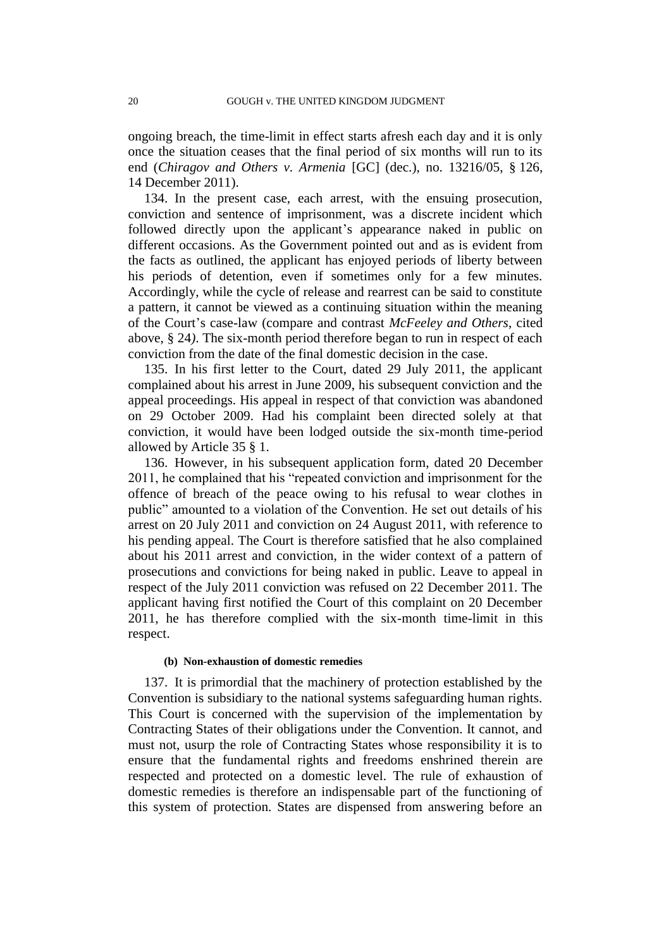ongoing breach, the time-limit in effect starts afresh each day and it is only once the situation ceases that the final period of six months will run to its end (*Chiragov and Others v. Armenia* [GC] (dec.), no. 13216/05, § 126, 14 December 2011).

134. In the present case, each arrest, with the ensuing prosecution, conviction and sentence of imprisonment, was a discrete incident which followed directly upon the applicant's appearance naked in public on different occasions. As the Government pointed out and as is evident from the facts as outlined, the applicant has enjoyed periods of liberty between his periods of detention, even if sometimes only for a few minutes. Accordingly, while the cycle of release and rearrest can be said to constitute a pattern, it cannot be viewed as a continuing situation within the meaning of the Court's case-law (compare and contrast *McFeeley and Others*, cited above, § 24*)*. The six-month period therefore began to run in respect of each conviction from the date of the final domestic decision in the case.

135. In his first letter to the Court, dated 29 July 2011, the applicant complained about his arrest in June 2009, his subsequent conviction and the appeal proceedings. His appeal in respect of that conviction was abandoned on 29 October 2009. Had his complaint been directed solely at that conviction, it would have been lodged outside the six-month time-period allowed by Article 35 § 1.

136. However, in his subsequent application form, dated 20 December 2011, he complained that his "repeated conviction and imprisonment for the offence of breach of the peace owing to his refusal to wear clothes in public" amounted to a violation of the Convention. He set out details of his arrest on 20 July 2011 and conviction on 24 August 2011, with reference to his pending appeal. The Court is therefore satisfied that he also complained about his 2011 arrest and conviction, in the wider context of a pattern of prosecutions and convictions for being naked in public. Leave to appeal in respect of the July 2011 conviction was refused on 22 December 2011. The applicant having first notified the Court of this complaint on 20 December 2011, he has therefore complied with the six-month time-limit in this respect.

#### **(b) Non-exhaustion of domestic remedies**

137. It is primordial that the machinery of protection established by the Convention is subsidiary to the national systems safeguarding human rights. This Court is concerned with the supervision of the implementation by Contracting States of their obligations under the Convention. It cannot, and must not, usurp the role of Contracting States whose responsibility it is to ensure that the fundamental rights and freedoms enshrined therein are respected and protected on a domestic level. The rule of exhaustion of domestic remedies is therefore an indispensable part of the functioning of this system of protection. States are dispensed from answering before an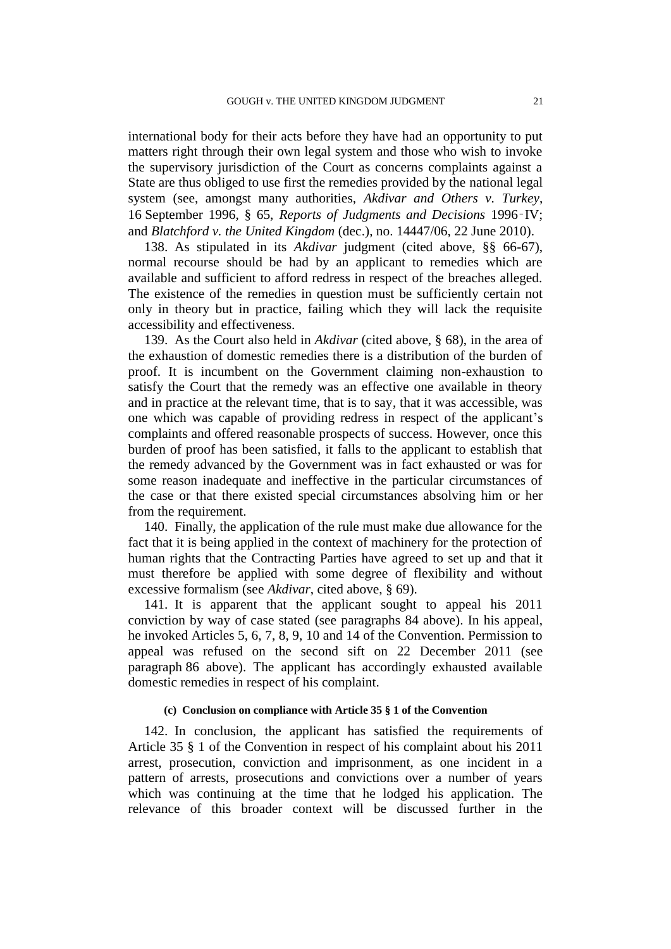international body for their acts before they have had an opportunity to put matters right through their own legal system and those who wish to invoke the supervisory jurisdiction of the Court as concerns complaints against a State are thus obliged to use first the remedies provided by the national legal system (see, amongst many authorities, *Akdivar and Others v. Turkey*, 16 September 1996, § 65, *Reports of Judgments and Decisions* 1996‑IV; and *Blatchford v. the United Kingdom* (dec.), no. 14447/06, 22 June 2010).

138. As stipulated in its *Akdivar* judgment (cited above, §§ 66-67), normal recourse should be had by an applicant to remedies which are available and sufficient to afford redress in respect of the breaches alleged. The existence of the remedies in question must be sufficiently certain not only in theory but in practice, failing which they will lack the requisite accessibility and effectiveness.

<span id="page-22-1"></span>139. As the Court also held in *Akdivar* (cited above, § 68), in the area of the exhaustion of domestic remedies there is a distribution of the burden of proof. It is incumbent on the Government claiming non-exhaustion to satisfy the Court that the remedy was an effective one available in theory and in practice at the relevant time, that is to say, that it was accessible, was one which was capable of providing redress in respect of the applicant's complaints and offered reasonable prospects of success. However, once this burden of proof has been satisfied, it falls to the applicant to establish that the remedy advanced by the Government was in fact exhausted or was for some reason inadequate and ineffective in the particular circumstances of the case or that there existed special circumstances absolving him or her from the requirement.

140. Finally, the application of the rule must make due allowance for the fact that it is being applied in the context of machinery for the protection of human rights that the Contracting Parties have agreed to set up and that it must therefore be applied with some degree of flexibility and without excessive formalism (see *Akdivar*, cited above, § 69).

141. It is apparent that the applicant sought to appeal his 2011 conviction by way of case stated (see paragraphs [84](#page-12-0) above). In his appeal, he invoked Articles 5, 6, 7, 8, 9, 10 and 14 of the Convention. Permission to appeal was refused on the second sift on 22 December 2011 (see paragraph [86](#page-12-1) above). The applicant has accordingly exhausted available domestic remedies in respect of his complaint.

## **(c) Conclusion on compliance with Article 35 § 1 of the Convention**

<span id="page-22-0"></span>142. In conclusion, the applicant has satisfied the requirements of Article 35 § 1 of the Convention in respect of his complaint about his 2011 arrest, prosecution, conviction and imprisonment, as one incident in a pattern of arrests, prosecutions and convictions over a number of years which was continuing at the time that he lodged his application. The relevance of this broader context will be discussed further in the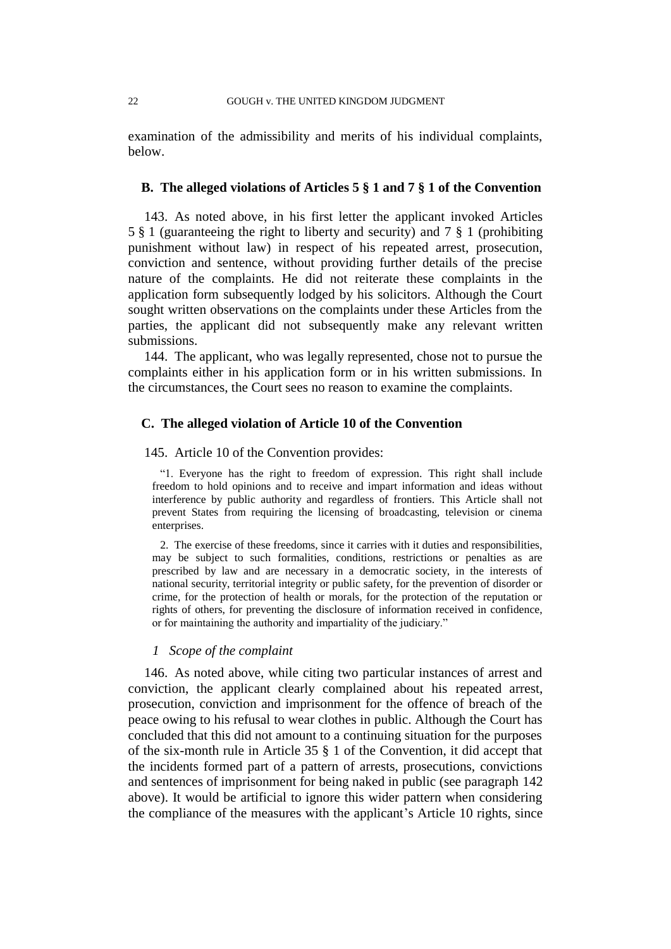examination of the admissibility and merits of his individual complaints, below.

## **B. The alleged violations of Articles 5 § 1 and 7 § 1 of the Convention**

143. As noted above, in his first letter the applicant invoked Articles 5 § 1 (guaranteeing the right to liberty and security) and 7 § 1 (prohibiting punishment without law) in respect of his repeated arrest, prosecution, conviction and sentence, without providing further details of the precise nature of the complaints. He did not reiterate these complaints in the application form subsequently lodged by his solicitors. Although the Court sought written observations on the complaints under these Articles from the parties, the applicant did not subsequently make any relevant written submissions.

144. The applicant, who was legally represented, chose not to pursue the complaints either in his application form or in his written submissions. In the circumstances, the Court sees no reason to examine the complaints.

## **C. The alleged violation of Article 10 of the Convention**

## 145. Article 10 of the Convention provides:

"1. Everyone has the right to freedom of expression. This right shall include freedom to hold opinions and to receive and impart information and ideas without interference by public authority and regardless of frontiers. This Article shall not prevent States from requiring the licensing of broadcasting, television or cinema enterprises.

2. The exercise of these freedoms, since it carries with it duties and responsibilities, may be subject to such formalities, conditions, restrictions or penalties as are prescribed by law and are necessary in a democratic society, in the interests of national security, territorial integrity or public safety, for the prevention of disorder or crime, for the protection of health or morals, for the protection of the reputation or rights of others, for preventing the disclosure of information received in confidence, or for maintaining the authority and impartiality of the judiciary."

## *1 Scope of the complaint*

146. As noted above, while citing two particular instances of arrest and conviction, the applicant clearly complained about his repeated arrest, prosecution, conviction and imprisonment for the offence of breach of the peace owing to his refusal to wear clothes in public. Although the Court has concluded that this did not amount to a continuing situation for the purposes of the six-month rule in Article 35 § 1 of the Convention, it did accept that the incidents formed part of a pattern of arrests, prosecutions, convictions and sentences of imprisonment for being naked in public (see paragraph [142](#page-22-0) above). It would be artificial to ignore this wider pattern when considering the compliance of the measures with the applicant's Article 10 rights, since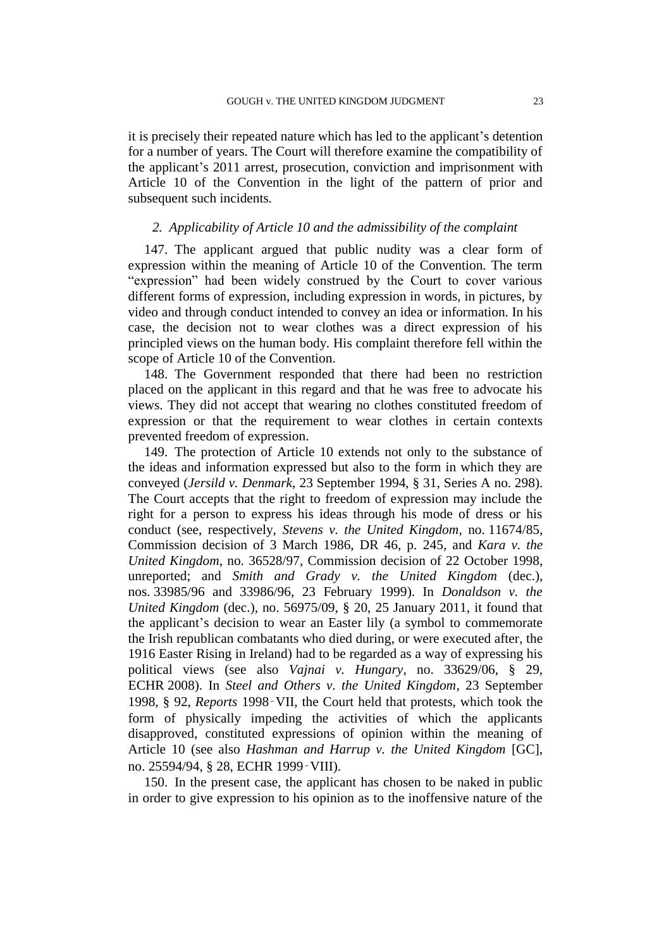it is precisely their repeated nature which has led to the applicant's detention for a number of years. The Court will therefore examine the compatibility of the applicant's 2011 arrest, prosecution, conviction and imprisonment with Article 10 of the Convention in the light of the pattern of prior and subsequent such incidents.

## *2. Applicability of Article 10 and the admissibility of the complaint*

<span id="page-24-0"></span>147. The applicant argued that public nudity was a clear form of expression within the meaning of Article 10 of the Convention. The term "expression" had been widely construed by the Court to cover various different forms of expression, including expression in words, in pictures, by video and through conduct intended to convey an idea or information. In his case, the decision not to wear clothes was a direct expression of his principled views on the human body. His complaint therefore fell within the scope of Article 10 of the Convention.

148. The Government responded that there had been no restriction placed on the applicant in this regard and that he was free to advocate his views. They did not accept that wearing no clothes constituted freedom of expression or that the requirement to wear clothes in certain contexts prevented freedom of expression.

149. The protection of Article 10 extends not only to the substance of the ideas and information expressed but also to the form in which they are conveyed (*Jersild v. Denmark*, 23 September 1994, § 31, Series A no. 298). The Court accepts that the right to freedom of expression may include the right for a person to express his ideas through his mode of dress or his conduct (see, respectively, *Stevens v. the United Kingdom*, no. 11674/85, Commission decision of 3 March 1986, DR 46, p. 245, and *Kara v. the United Kingdom*, no. 36528/97, Commission decision of 22 October 1998, unreported; and *Smith and Grady v. the United Kingdom* (dec.), nos. 33985/96 and 33986/96, 23 February 1999). In *Donaldson v. the United Kingdom* (dec.), no. 56975/09, § 20, 25 January 2011, it found that the applicant's decision to wear an Easter lily (a symbol to commemorate the Irish republican combatants who died during, or were executed after, the 1916 Easter Rising in Ireland) had to be regarded as a way of expressing his political views (see also *Vajnai v. Hungary*, no. 33629/06, § 29, ECHR 2008). In *Steel and Others v. the United Kingdom*, 23 September 1998, § 92, *Reports* 1998‑VII, the Court held that protests, which took the form of physically impeding the activities of which the applicants disapproved, constituted expressions of opinion within the meaning of Article 10 (see also *Hashman and Harrup v. the United Kingdom* [GC], no. 25594/94, § 28, ECHR 1999‑VIII).

<span id="page-24-1"></span>150. In the present case, the applicant has chosen to be naked in public in order to give expression to his opinion as to the inoffensive nature of the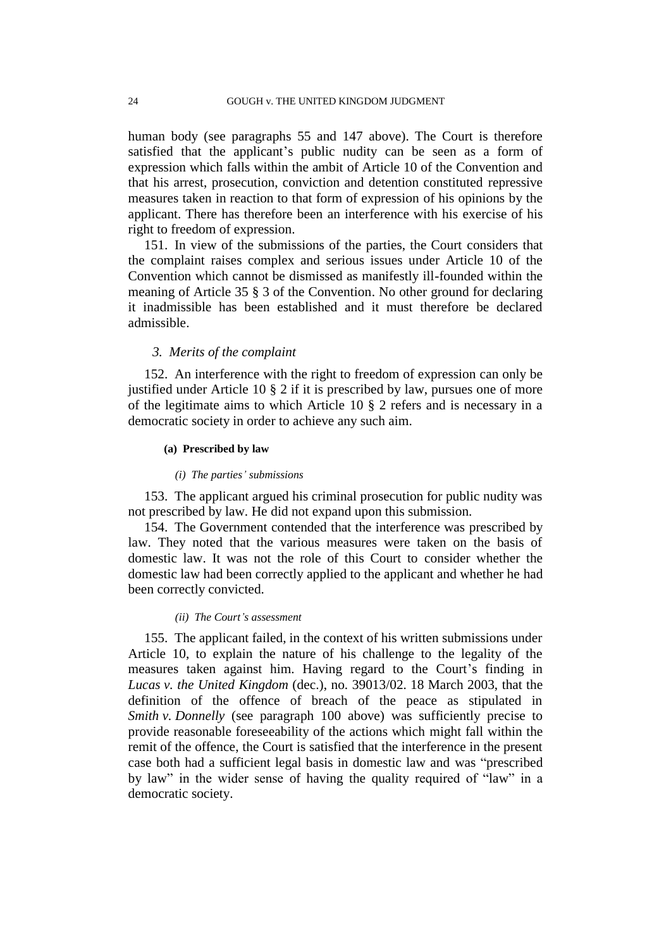human body (see paragraphs [55](#page-8-0) and [147](#page-24-0) above). The Court is therefore satisfied that the applicant's public nudity can be seen as a form of expression which falls within the ambit of Article 10 of the Convention and that his arrest, prosecution, conviction and detention constituted repressive measures taken in reaction to that form of expression of his opinions by the applicant. There has therefore been an interference with his exercise of his right to freedom of expression.

151. In view of the submissions of the parties, the Court considers that the complaint raises complex and serious issues under Article 10 of the Convention which cannot be dismissed as manifestly ill-founded within the meaning of Article 35 § 3 of the Convention. No other ground for declaring it inadmissible has been established and it must therefore be declared admissible.

## *3. Merits of the complaint*

152. An interference with the right to freedom of expression can only be justified under Article 10 § 2 if it is prescribed by law, pursues one of more of the legitimate aims to which Article 10 § 2 refers and is necessary in a democratic society in order to achieve any such aim.

#### **(a) Prescribed by law**

#### *(i) The parties' submissions*

153. The applicant argued his criminal prosecution for public nudity was not prescribed by law. He did not expand upon this submission.

154. The Government contended that the interference was prescribed by law. They noted that the various measures were taken on the basis of domestic law. It was not the role of this Court to consider whether the domestic law had been correctly applied to the applicant and whether he had been correctly convicted.

## *(ii) The Court's assessment*

155. The applicant failed, in the context of his written submissions under Article 10, to explain the nature of his challenge to the legality of the measures taken against him. Having regard to the Court's finding in *Lucas v. the United Kingdom* (dec.), no. 39013/02. 18 March 2003, that the definition of the offence of breach of the peace as stipulated in *Smith v. Donnelly* (see paragraph [100](#page-15-0) above) was sufficiently precise to provide reasonable foreseeability of the actions which might fall within the remit of the offence, the Court is satisfied that the interference in the present case both had a sufficient legal basis in domestic law and was "prescribed by law" in the wider sense of having the quality required of "law" in a democratic society.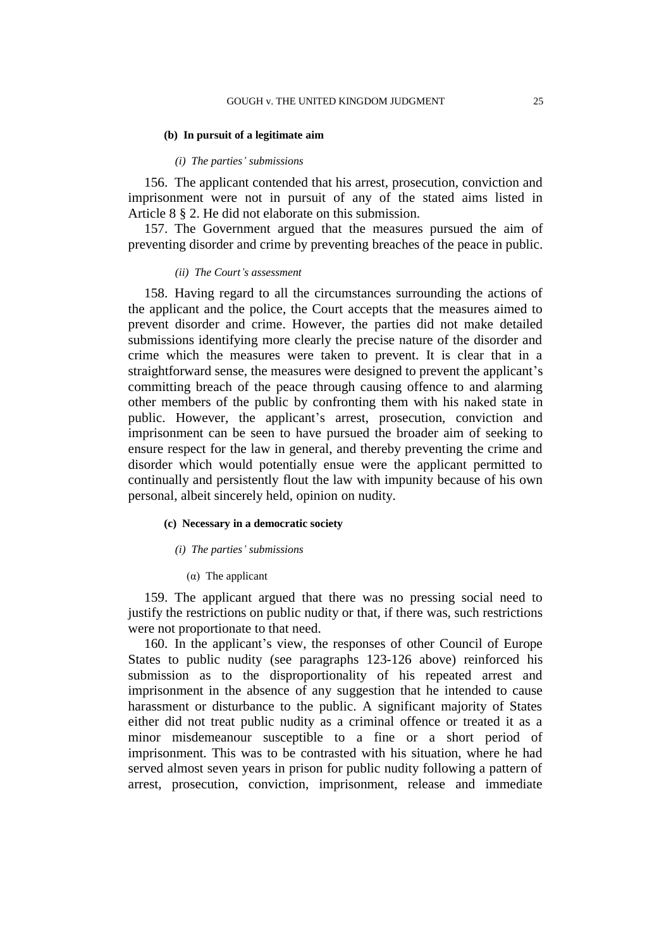#### **(b) In pursuit of a legitimate aim**

#### *(i) The parties' submissions*

156. The applicant contended that his arrest, prosecution, conviction and imprisonment were not in pursuit of any of the stated aims listed in Article 8 § 2. He did not elaborate on this submission.

157. The Government argued that the measures pursued the aim of preventing disorder and crime by preventing breaches of the peace in public.

#### *(ii) The Court's assessment*

158. Having regard to all the circumstances surrounding the actions of the applicant and the police, the Court accepts that the measures aimed to prevent disorder and crime. However, the parties did not make detailed submissions identifying more clearly the precise nature of the disorder and crime which the measures were taken to prevent. It is clear that in a straightforward sense, the measures were designed to prevent the applicant's committing breach of the peace through causing offence to and alarming other members of the public by confronting them with his naked state in public. However, the applicant's arrest, prosecution, conviction and imprisonment can be seen to have pursued the broader aim of seeking to ensure respect for the law in general, and thereby preventing the crime and disorder which would potentially ensue were the applicant permitted to continually and persistently flout the law with impunity because of his own personal, albeit sincerely held, opinion on nudity.

## **(c) Necessary in a democratic society**

### *(i) The parties' submissions*

(α) The applicant

159. The applicant argued that there was no pressing social need to justify the restrictions on public nudity or that, if there was, such restrictions were not proportionate to that need.

160. In the applicant's view, the responses of other Council of Europe States to public nudity (see paragraphs [123](#page-18-0)[-126](#page-19-0) above) reinforced his submission as to the disproportionality of his repeated arrest and imprisonment in the absence of any suggestion that he intended to cause harassment or disturbance to the public. A significant majority of States either did not treat public nudity as a criminal offence or treated it as a minor misdemeanour susceptible to a fine or a short period of imprisonment. This was to be contrasted with his situation, where he had served almost seven years in prison for public nudity following a pattern of arrest, prosecution, conviction, imprisonment, release and immediate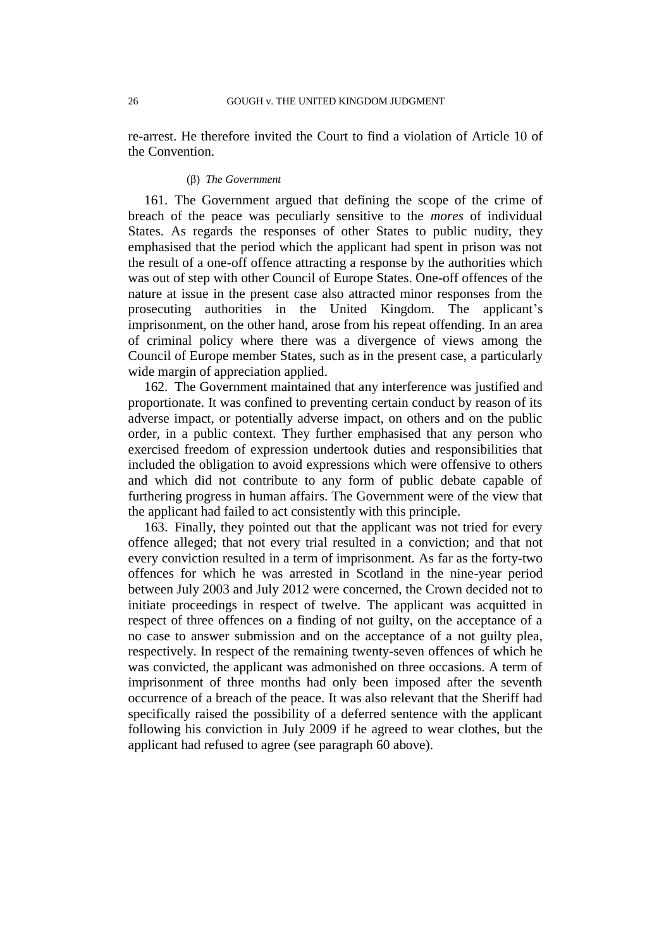re-arrest. He therefore invited the Court to find a violation of Article 10 of the Convention.

## (β) *The Government*

161. The Government argued that defining the scope of the crime of breach of the peace was peculiarly sensitive to the *mores* of individual States. As regards the responses of other States to public nudity, they emphasised that the period which the applicant had spent in prison was not the result of a one-off offence attracting a response by the authorities which was out of step with other Council of Europe States. One-off offences of the nature at issue in the present case also attracted minor responses from the prosecuting authorities in the United Kingdom. The applicant's imprisonment, on the other hand, arose from his repeat offending. In an area of criminal policy where there was a divergence of views among the Council of Europe member States, such as in the present case, a particularly wide margin of appreciation applied.

162. The Government maintained that any interference was justified and proportionate. It was confined to preventing certain conduct by reason of its adverse impact, or potentially adverse impact, on others and on the public order, in a public context. They further emphasised that any person who exercised freedom of expression undertook duties and responsibilities that included the obligation to avoid expressions which were offensive to others and which did not contribute to any form of public debate capable of furthering progress in human affairs. The Government were of the view that the applicant had failed to act consistently with this principle.

163. Finally, they pointed out that the applicant was not tried for every offence alleged; that not every trial resulted in a conviction; and that not every conviction resulted in a term of imprisonment. As far as the forty-two offences for which he was arrested in Scotland in the nine-year period between July 2003 and July 2012 were concerned, the Crown decided not to initiate proceedings in respect of twelve. The applicant was acquitted in respect of three offences on a finding of not guilty, on the acceptance of a no case to answer submission and on the acceptance of a not guilty plea, respectively. In respect of the remaining twenty-seven offences of which he was convicted, the applicant was admonished on three occasions. A term of imprisonment of three months had only been imposed after the seventh occurrence of a breach of the peace. It was also relevant that the Sheriff had specifically raised the possibility of a deferred sentence with the applicant following his conviction in July 2009 if he agreed to wear clothes, but the applicant had refused to agree (see paragraph [60](#page-9-0) above).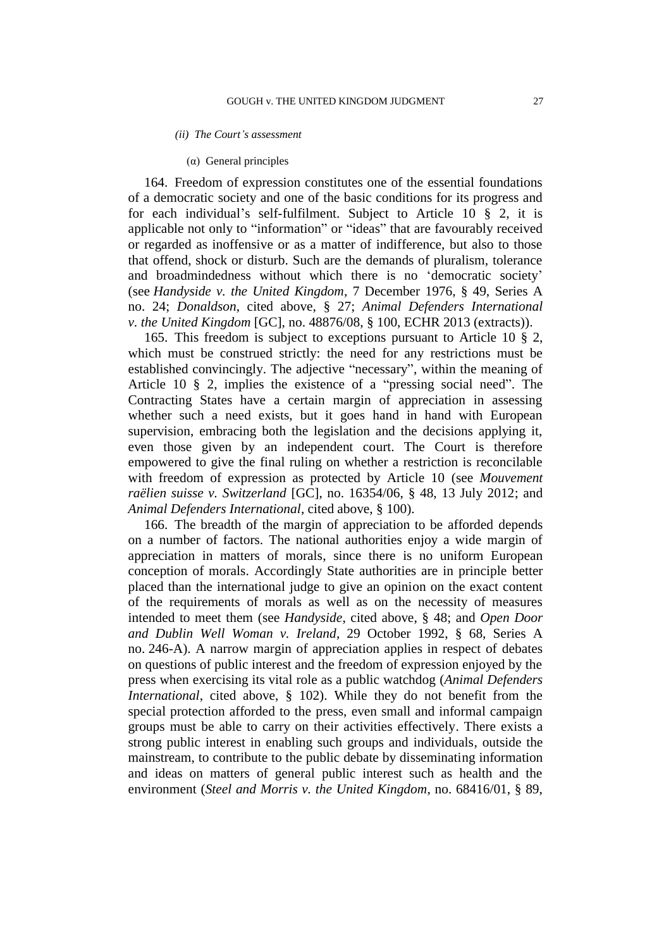#### *(ii) The Court's assessment*

#### (α) General principles

164. Freedom of expression constitutes one of the essential foundations of a democratic society and one of the basic conditions for its progress and for each individual's self-fulfilment. Subject to Article 10 § 2, it is applicable not only to "information" or "ideas" that are favourably received or regarded as inoffensive or as a matter of indifference, but also to those that offend, shock or disturb. Such are the demands of pluralism, tolerance and broadmindedness without which there is no 'democratic society' (see *Handyside v. the United Kingdom*, 7 December 1976, § 49, Series A no. 24; *Donaldson*, cited above, § 27; *Animal Defenders International v. the United Kingdom* [GC], no. 48876/08, § 100, ECHR 2013 (extracts)).

165. This freedom is subject to exceptions pursuant to Article 10 § 2, which must be construed strictly: the need for any restrictions must be established convincingly. The adjective "necessary", within the meaning of Article 10 § 2, implies the existence of a "pressing social need". The Contracting States have a certain margin of appreciation in assessing whether such a need exists, but it goes hand in hand with European supervision, embracing both the legislation and the decisions applying it, even those given by an independent court. The Court is therefore empowered to give the final ruling on whether a restriction is reconcilable with freedom of expression as protected by Article 10 (see *Mouvement raëlien suisse v. Switzerland* [GC], no. 16354/06, § 48, 13 July 2012; and *Animal Defenders International*, cited above, § 100).

166. The breadth of the margin of appreciation to be afforded depends on a number of factors. The national authorities enjoy a wide margin of appreciation in matters of morals, since there is no uniform European conception of morals. Accordingly State authorities are in principle better placed than the international judge to give an opinion on the exact content of the requirements of morals as well as on the necessity of measures intended to meet them (see *Handyside*, cited above, § 48; and *Open Door and Dublin Well Woman v. Ireland*, 29 October 1992, § 68, Series A no. 246-A). A narrow margin of appreciation applies in respect of debates on questions of public interest and the freedom of expression enjoyed by the press when exercising its vital role as a public watchdog (*Animal Defenders International*, cited above, § 102). While they do not benefit from the special protection afforded to the press, even small and informal campaign groups must be able to carry on their activities effectively. There exists a strong public interest in enabling such groups and individuals, outside the mainstream, to contribute to the public debate by disseminating information and ideas on matters of general public interest such as health and the environment (*Steel and Morris v. the United Kingdom*, no. 68416/01, § 89,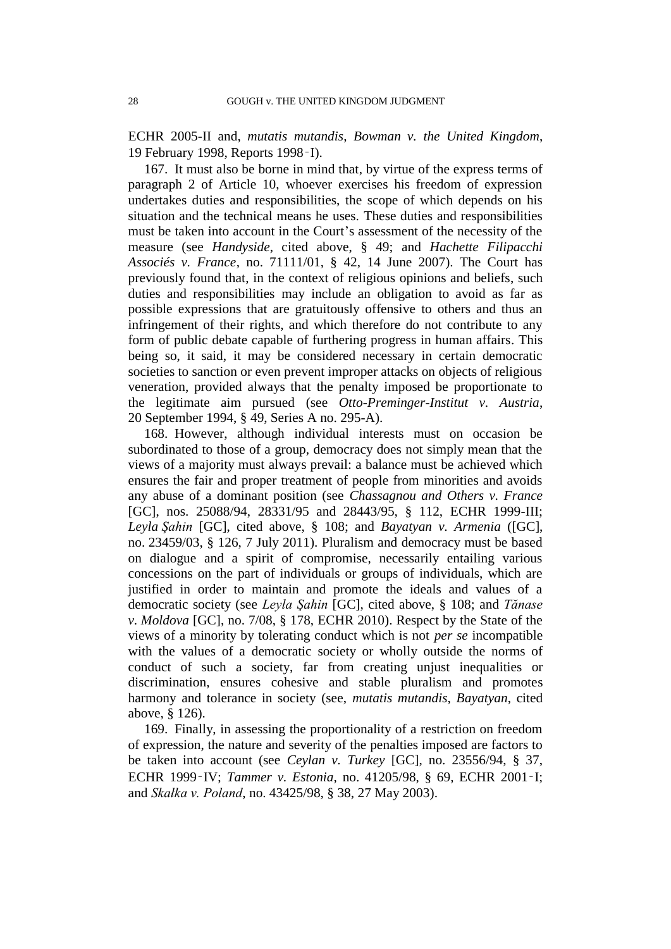ECHR 2005-II and, *mutatis mutandis*, *Bowman v. the United Kingdom*, 19 February 1998, Reports 1998‑I).

167. It must also be borne in mind that, by virtue of the express terms of paragraph 2 of Article 10, whoever exercises his freedom of expression undertakes duties and responsibilities, the scope of which depends on his situation and the technical means he uses. These duties and responsibilities must be taken into account in the Court's assessment of the necessity of the measure (see *Handyside*, cited above, § 49; and *Hachette Filipacchi Associés v. France*, no. 71111/01, § 42, 14 June 2007). The Court has previously found that, in the context of religious opinions and beliefs, such duties and responsibilities may include an obligation to avoid as far as possible expressions that are gratuitously offensive to others and thus an infringement of their rights, and which therefore do not contribute to any form of public debate capable of furthering progress in human affairs. This being so, it said, it may be considered necessary in certain democratic societies to sanction or even prevent improper attacks on objects of religious veneration, provided always that the penalty imposed be proportionate to the legitimate aim pursued (see *Otto-Preminger-Institut v. Austria*, 20 September 1994, § 49, Series A no. 295-A).

168. However, although individual interests must on occasion be subordinated to those of a group, democracy does not simply mean that the views of a majority must always prevail: a balance must be achieved which ensures the fair and proper treatment of people from minorities and avoids any abuse of a dominant position (see *Chassagnou and Others v. France* [GC], nos. 25088/94, 28331/95 and 28443/95, § 112, ECHR 1999-III; *Leyla Şahin* [GC], cited above, § 108; and *Bayatyan v. Armenia* ([GC], no. 23459/03, § 126, 7 July 2011). Pluralism and democracy must be based on dialogue and a spirit of compromise, necessarily entailing various concessions on the part of individuals or groups of individuals, which are justified in order to maintain and promote the ideals and values of a democratic society (see *Leyla Şahin* [GC], cited above, § 108; and *Tănase v. Moldova* [GC], no. 7/08, § 178, ECHR 2010). Respect by the State of the views of a minority by tolerating conduct which is not *per se* incompatible with the values of a democratic society or wholly outside the norms of conduct of such a society, far from creating unjust inequalities or discrimination, ensures cohesive and stable pluralism and promotes harmony and tolerance in society (see, *mutatis mutandis*, *Bayatyan*, cited above, § 126).

169. Finally, in assessing the proportionality of a restriction on freedom of expression, the nature and severity of the penalties imposed are factors to be taken into account (see *Ceylan v. Turkey* [GC], no. 23556/94, § 37, ECHR 1999‑IV; *Tammer v. Estonia*, no. 41205/98, § 69, ECHR 2001‑I; and *Skałka v. Poland*, no. 43425/98, § 38, 27 May 2003).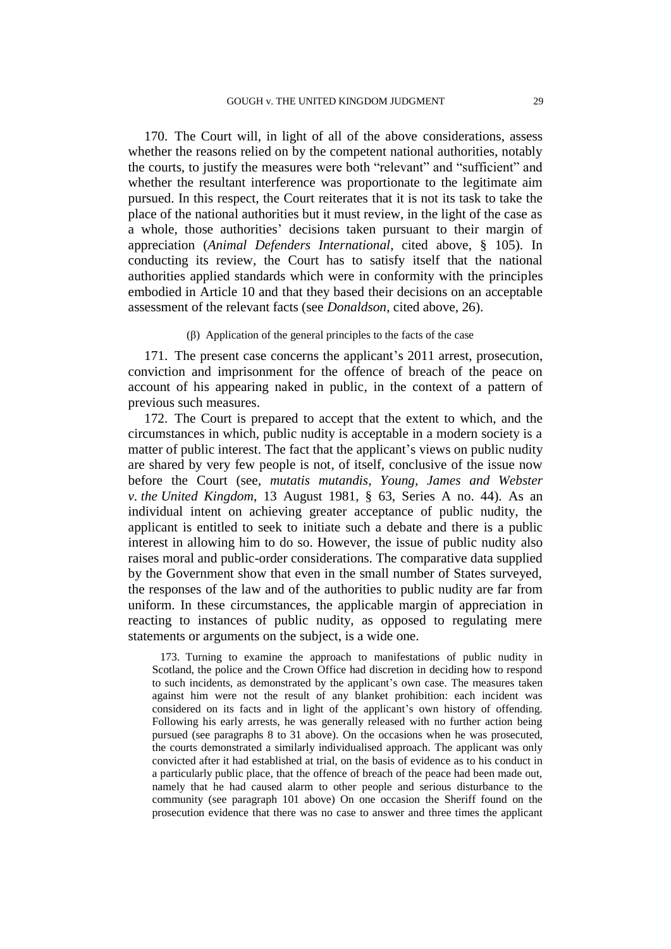170. The Court will, in light of all of the above considerations, assess whether the reasons relied on by the competent national authorities, notably the courts, to justify the measures were both "relevant" and "sufficient" and whether the resultant interference was proportionate to the legitimate aim pursued. In this respect, the Court reiterates that it is not its task to take the place of the national authorities but it must review, in the light of the case as a whole, those authorities' decisions taken pursuant to their margin of appreciation (*Animal Defenders International*, cited above, § 105). In conducting its review, the Court has to satisfy itself that the national authorities applied standards which were in conformity with the principles embodied in Article 10 and that they based their decisions on an acceptable assessment of the relevant facts (see *Donaldson*, cited above, 26).

#### (β) Application of the general principles to the facts of the case

<span id="page-30-0"></span>171. The present case concerns the applicant's 2011 arrest, prosecution, conviction and imprisonment for the offence of breach of the peace on account of his appearing naked in public, in the context of a pattern of previous such measures.

172. The Court is prepared to accept that the extent to which, and the circumstances in which, public nudity is acceptable in a modern society is a matter of public interest. The fact that the applicant's views on public nudity are shared by very few people is not, of itself, conclusive of the issue now before the Court (see, *mutatis mutandis*, *Young, James and Webster v. the United Kingdom*, 13 August 1981, § 63, Series A no. 44). As an individual intent on achieving greater acceptance of public nudity, the applicant is entitled to seek to initiate such a debate and there is a public interest in allowing him to do so. However, the issue of public nudity also raises moral and public-order considerations. The comparative data supplied by the Government show that even in the small number of States surveyed, the responses of the law and of the authorities to public nudity are far from uniform. In these circumstances, the applicable margin of appreciation in reacting to instances of public nudity, as opposed to regulating mere statements or arguments on the subject, is a wide one.

173. Turning to examine the approach to manifestations of public nudity in Scotland, the police and the Crown Office had discretion in deciding how to respond to such incidents, as demonstrated by the applicant's own case. The measures taken against him were not the result of any blanket prohibition: each incident was considered on its facts and in light of the applicant's own history of offending. Following his early arrests, he was generally released with no further action being pursued (see paragraphs [8](#page-3-0) to [31](#page-5-0) above). On the occasions when he was prosecuted, the courts demonstrated a similarly individualised approach. The applicant was only convicted after it had established at trial, on the basis of evidence as to his conduct in a particularly public place, that the offence of breach of the peace had been made out, namely that he had caused alarm to other people and serious disturbance to the community (see paragraph [101](#page-15-3) above) On one occasion the Sheriff found on the prosecution evidence that there was no case to answer and three times the applicant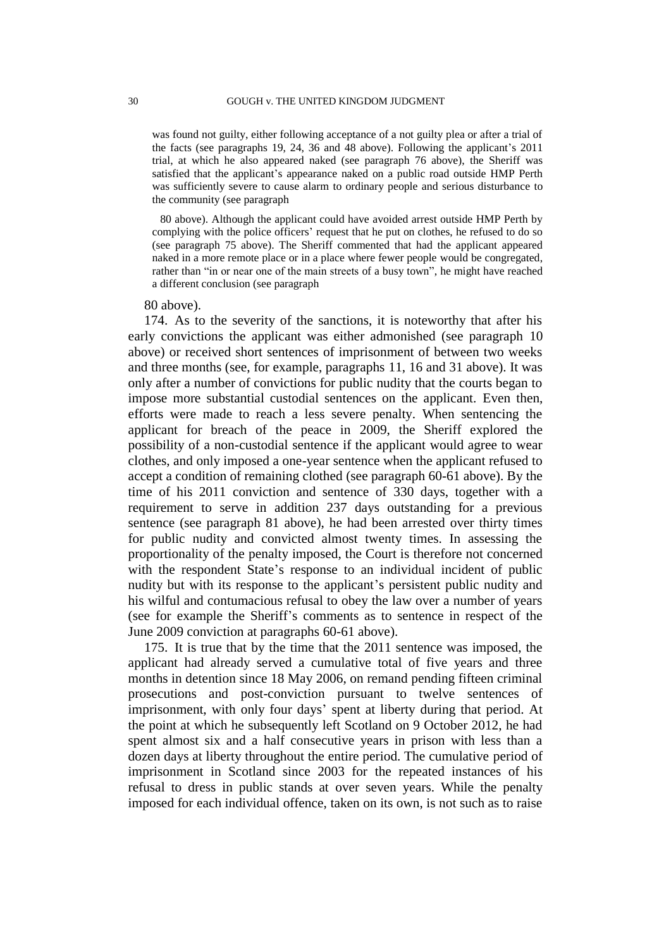was found not guilty, either following acceptance of a not guilty plea or after a trial of the facts (see paragraphs [19,](#page-4-0) [24,](#page-4-1) [36](#page-5-1) and [48](#page-7-1) above). Following the applicant's 2011 trial, at which he also appeared naked (see paragraph [76](#page-11-0) above), the Sheriff was satisfied that the applicant's appearance naked on a public road outside HMP Perth was sufficiently severe to cause alarm to ordinary people and serious disturbance to the community (see paragraph

[80](#page-11-1) above). Although the applicant could have avoided arrest outside HMP Perth by complying with the police officers' request that he put on clothes, he refused to do so (see paragraph [75](#page-10-0) above). The Sheriff commented that had the applicant appeared naked in a more remote place or in a place where fewer people would be congregated, rather than "in or near one of the main streets of a busy town", he might have reached a different conclusion (see paragrap[h](#page-11-1) 

#### [80](#page-11-1) above).

174. As to the severity of the sanctions, it is noteworthy that after his early convictions the applicant was either admonished (see paragraph [10](#page-3-1) above) or received short sentences of imprisonment of between two weeks and three months (see, for example, paragraphs [11,](#page-3-2) [16](#page-4-2) and [31](#page-5-0) above). It was only after a number of convictions for public nudity that the courts began to impose more substantial custodial sentences on the applicant. Even then, efforts were made to reach a less severe penalty. When sentencing the applicant for breach of the peace in 2009, the Sheriff explored the possibility of a non-custodial sentence if the applicant would agree to wear clothes, and only imposed a one-year sentence when the applicant refused to accept a condition of remaining clothed (see paragraph [60-](#page-9-0)[61](#page-9-1) above). By the time of his 2011 conviction and sentence of 330 days, together with a requirement to serve in addition 237 days outstanding for a previous sentence (see paragraph [81](#page-12-2) above), he had been arrested over thirty times for public nudity and convicted almost twenty times. In assessing the proportionality of the penalty imposed, the Court is therefore not concerned with the respondent State's response to an individual incident of public nudity but with its response to the applicant's persistent public nudity and his wilful and contumacious refusal to obey the law over a number of years (see for example the Sheriff's comments as to sentence in respect of the June 2009 conviction at paragraphs [60](#page-9-0)[-61](#page-9-1) above).

175. It is true that by the time that the 2011 sentence was imposed, the applicant had already served a cumulative total of five years and three months in detention since 18 May 2006, on remand pending fifteen criminal prosecutions and post-conviction pursuant to twelve sentences of imprisonment, with only four days' spent at liberty during that period. At the point at which he subsequently left Scotland on 9 October 2012, he had spent almost six and a half consecutive years in prison with less than a dozen days at liberty throughout the entire period. The cumulative period of imprisonment in Scotland since 2003 for the repeated instances of his refusal to dress in public stands at over seven years. While the penalty imposed for each individual offence, taken on its own, is not such as to raise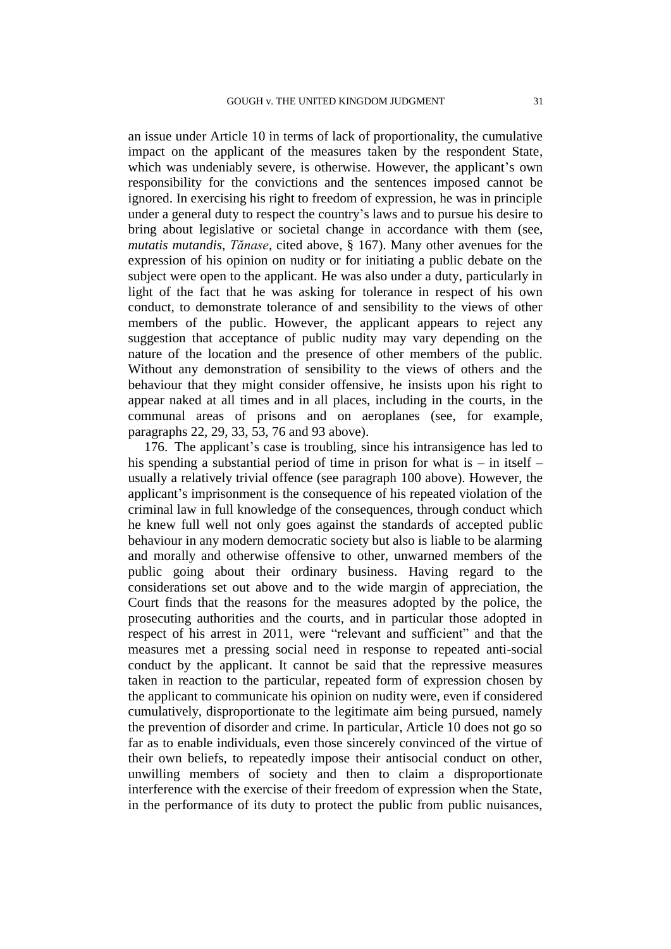an issue under Article 10 in terms of lack of proportionality, the cumulative impact on the applicant of the measures taken by the respondent State, which was undeniably severe, is otherwise. However, the applicant's own responsibility for the convictions and the sentences imposed cannot be ignored. In exercising his right to freedom of expression, he was in principle under a general duty to respect the country's laws and to pursue his desire to bring about legislative or societal change in accordance with them (see, *mutatis mutandis*, *Tănase*, cited above, § 167). Many other avenues for the expression of his opinion on nudity or for initiating a public debate on the subject were open to the applicant. He was also under a duty, particularly in light of the fact that he was asking for tolerance in respect of his own conduct, to demonstrate tolerance of and sensibility to the views of other members of the public. However, the applicant appears to reject any suggestion that acceptance of public nudity may vary depending on the nature of the location and the presence of other members of the public. Without any demonstration of sensibility to the views of others and the behaviour that they might consider offensive, he insists upon his right to appear naked at all times and in all places, including in the courts, in the communal areas of prisons and on aeroplanes (see, for example, paragraphs [22,](#page-4-3) [29,](#page-5-2) [33,](#page-5-3) [53,](#page-7-2) [76](#page-11-0) and [93](#page-13-0) above).

<span id="page-32-0"></span>176. The applicant's case is troubling, since his intransigence has led to his spending a substantial period of time in prison for what is  $-$  in itself  $$ usually a relatively trivial offence (see paragraph [100](#page-15-0) above). However, the applicant's imprisonment is the consequence of his repeated violation of the criminal law in full knowledge of the consequences, through conduct which he knew full well not only goes against the standards of accepted public behaviour in any modern democratic society but also is liable to be alarming and morally and otherwise offensive to other, unwarned members of the public going about their ordinary business. Having regard to the considerations set out above and to the wide margin of appreciation, the Court finds that the reasons for the measures adopted by the police, the prosecuting authorities and the courts, and in particular those adopted in respect of his arrest in 2011, were "relevant and sufficient" and that the measures met a pressing social need in response to repeated anti-social conduct by the applicant. It cannot be said that the repressive measures taken in reaction to the particular, repeated form of expression chosen by the applicant to communicate his opinion on nudity were, even if considered cumulatively, disproportionate to the legitimate aim being pursued, namely the prevention of disorder and crime. In particular, Article 10 does not go so far as to enable individuals, even those sincerely convinced of the virtue of their own beliefs, to repeatedly impose their antisocial conduct on other, unwilling members of society and then to claim a disproportionate interference with the exercise of their freedom of expression when the State, in the performance of its duty to protect the public from public nuisances,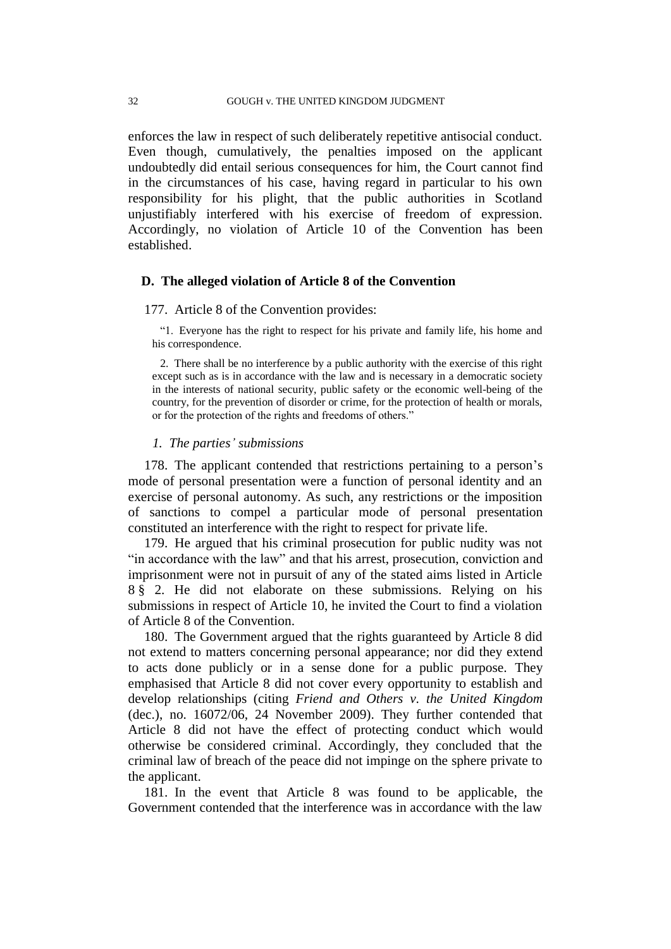enforces the law in respect of such deliberately repetitive antisocial conduct. Even though, cumulatively, the penalties imposed on the applicant undoubtedly did entail serious consequences for him, the Court cannot find in the circumstances of his case, having regard in particular to his own responsibility for his plight, that the public authorities in Scotland unjustifiably interfered with his exercise of freedom of expression. Accordingly, no violation of Article 10 of the Convention has been established.

## **D. The alleged violation of Article 8 of the Convention**

#### 177. Article 8 of the Convention provides:

"1. Everyone has the right to respect for his private and family life, his home and his correspondence.

2. There shall be no interference by a public authority with the exercise of this right except such as is in accordance with the law and is necessary in a democratic society in the interests of national security, public safety or the economic well-being of the country, for the prevention of disorder or crime, for the protection of health or morals, or for the protection of the rights and freedoms of others."

## *1. The parties' submissions*

178. The applicant contended that restrictions pertaining to a person's mode of personal presentation were a function of personal identity and an exercise of personal autonomy. As such, any restrictions or the imposition of sanctions to compel a particular mode of personal presentation constituted an interference with the right to respect for private life.

179. He argued that his criminal prosecution for public nudity was not "in accordance with the law" and that his arrest, prosecution, conviction and imprisonment were not in pursuit of any of the stated aims listed in Article 8 § 2. He did not elaborate on these submissions. Relying on his submissions in respect of Article 10, he invited the Court to find a violation of Article 8 of the Convention.

180. The Government argued that the rights guaranteed by Article 8 did not extend to matters concerning personal appearance; nor did they extend to acts done publicly or in a sense done for a public purpose. They emphasised that Article 8 did not cover every opportunity to establish and develop relationships (citing *Friend and Others v. the United Kingdom* (dec.), no. 16072/06, 24 November 2009). They further contended that Article 8 did not have the effect of protecting conduct which would otherwise be considered criminal. Accordingly, they concluded that the criminal law of breach of the peace did not impinge on the sphere private to the applicant.

181. In the event that Article 8 was found to be applicable, the Government contended that the interference was in accordance with the law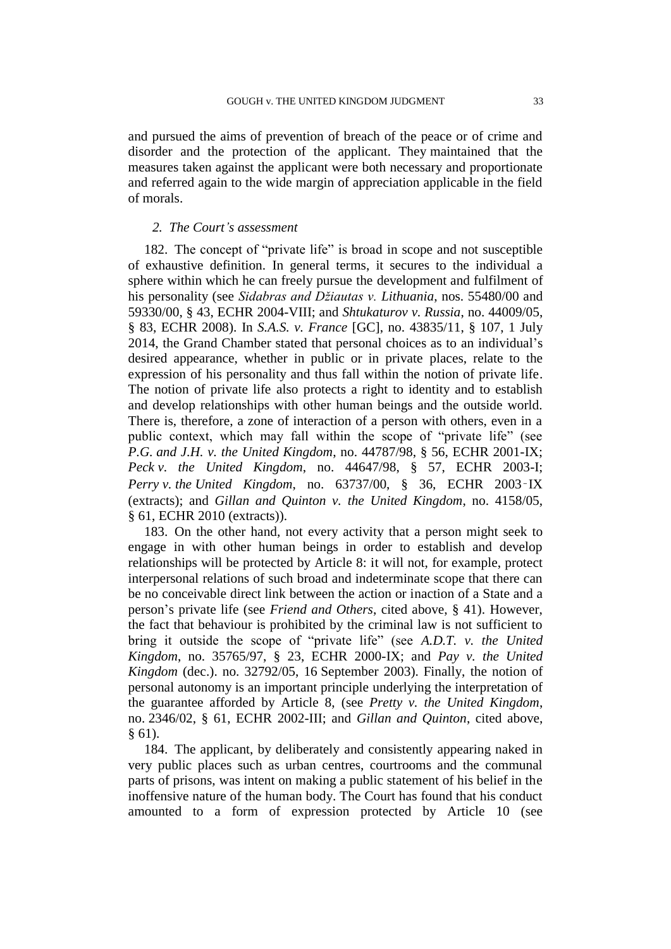and pursued the aims of prevention of breach of the peace or of crime and disorder and the protection of the applicant. They maintained that the measures taken against the applicant were both necessary and proportionate and referred again to the wide margin of appreciation applicable in the field of morals.

## *2. The Court's assessment*

182. The concept of "private life" is broad in scope and not susceptible of exhaustive definition. In general terms, it secures to the individual a sphere within which he can freely pursue the development and fulfilment of his personality (see *Sidabras and Džiautas v. Lithuania*, nos. 55480/00 and 59330/00, § 43, ECHR 2004-VIII; and *Shtukaturov v. Russia*, no. 44009/05, § 83, ECHR 2008). In *S.A.S. v. France* [GC], no. 43835/11, § 107, 1 July 2014, the Grand Chamber stated that personal choices as to an individual's desired appearance, whether in public or in private places, relate to the expression of his personality and thus fall within the notion of private life. The notion of private life also protects a right to identity and to establish and develop relationships with other human beings and the outside world. There is, therefore, a zone of interaction of a person with others, even in a public context, which may fall within the scope of "private life" (see *P.G. and J.H. v. the United Kingdom*, no. 44787/98, § 56, ECHR 2001-IX; *Peck v. the United Kingdom*, no. 44647/98, § 57, ECHR 2003-I; *Perry v. the United Kingdom*, no. 63737/00, § 36, ECHR 2003‑IX (extracts); and *Gillan and Quinton v. the United Kingdom*, no. 4158/05, § 61, ECHR 2010 (extracts)).

183. On the other hand, not every activity that a person might seek to engage in with other human beings in order to establish and develop relationships will be protected by Article 8: it will not, for example, protect interpersonal relations of such broad and indeterminate scope that there can be no conceivable direct link between the action or inaction of a State and a person's private life (see *Friend and Others*, cited above, § 41). However, the fact that behaviour is prohibited by the criminal law is not sufficient to bring it outside the scope of "private life" (see *A.D.T. v. the United Kingdom*, no. 35765/97, § 23, ECHR 2000-IX; and *Pay v. the United Kingdom* (dec.). no. 32792/05, 16 September 2003). Finally, the notion of personal autonomy is an important principle underlying the interpretation of the guarantee afforded by Article 8, (see *Pretty v. the United Kingdom*, no. 2346/02, § 61, ECHR 2002-III; and *Gillan and Quinton*, cited above, § 61).

184. The applicant, by deliberately and consistently appearing naked in very public places such as urban centres, courtrooms and the communal parts of prisons, was intent on making a public statement of his belief in the inoffensive nature of the human body. The Court has found that his conduct amounted to a form of expression protected by Article 10 (see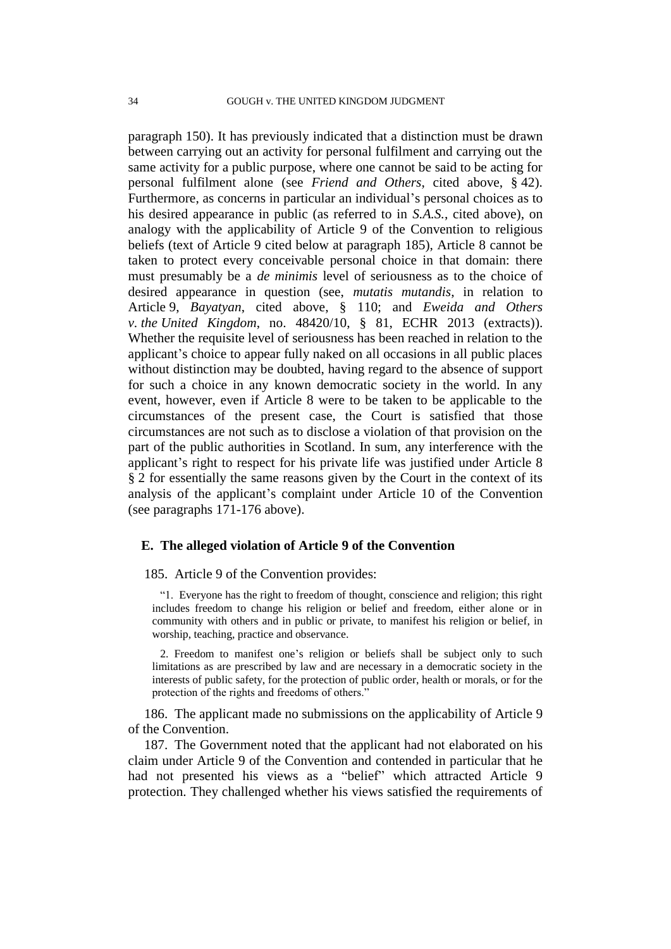paragraph [150\)](#page-24-1). It has previously indicated that a distinction must be drawn between carrying out an activity for personal fulfilment and carrying out the same activity for a public purpose, where one cannot be said to be acting for personal fulfilment alone (see *Friend and Others*, cited above, § 42). Furthermore, as concerns in particular an individual's personal choices as to his desired appearance in public (as referred to in *S.A.S.*, cited above), on analogy with the applicability of Article 9 of the Convention to religious beliefs (text of Article 9 cited below at paragraph [185\)](#page-35-0), Article 8 cannot be taken to protect every conceivable personal choice in that domain: there must presumably be a *de minimis* level of seriousness as to the choice of desired appearance in question (see, *mutatis mutandis*, in relation to Article 9, *Bayatyan*, cited above, § 110; and *Eweida and Others v. the United Kingdom*, no. 48420/10, § 81, ECHR 2013 (extracts)). Whether the requisite level of seriousness has been reached in relation to the applicant's choice to appear fully naked on all occasions in all public places without distinction may be doubted, having regard to the absence of support for such a choice in any known democratic society in the world. In any event, however, even if Article 8 were to be taken to be applicable to the circumstances of the present case, the Court is satisfied that those circumstances are not such as to disclose a violation of that provision on the part of the public authorities in Scotland. In sum, any interference with the applicant's right to respect for his private life was justified under Article 8 § 2 for essentially the same reasons given by the Court in the context of its analysis of the applicant's complaint under Article 10 of the Convention (see paragraphs [171](#page-30-0)[-176](#page-32-0) above).

## **E. The alleged violation of Article 9 of the Convention**

## <span id="page-35-0"></span>185. Article 9 of the Convention provides:

"1. Everyone has the right to freedom of thought, conscience and religion; this right includes freedom to change his religion or belief and freedom, either alone or in community with others and in public or private, to manifest his religion or belief, in worship, teaching, practice and observance.

2. Freedom to manifest one's religion or beliefs shall be subject only to such limitations as are prescribed by law and are necessary in a democratic society in the interests of public safety, for the protection of public order, health or morals, or for the protection of the rights and freedoms of others."

186. The applicant made no submissions on the applicability of Article 9 of the Convention.

187. The Government noted that the applicant had not elaborated on his claim under Article 9 of the Convention and contended in particular that he had not presented his views as a "belief" which attracted Article 9 protection. They challenged whether his views satisfied the requirements of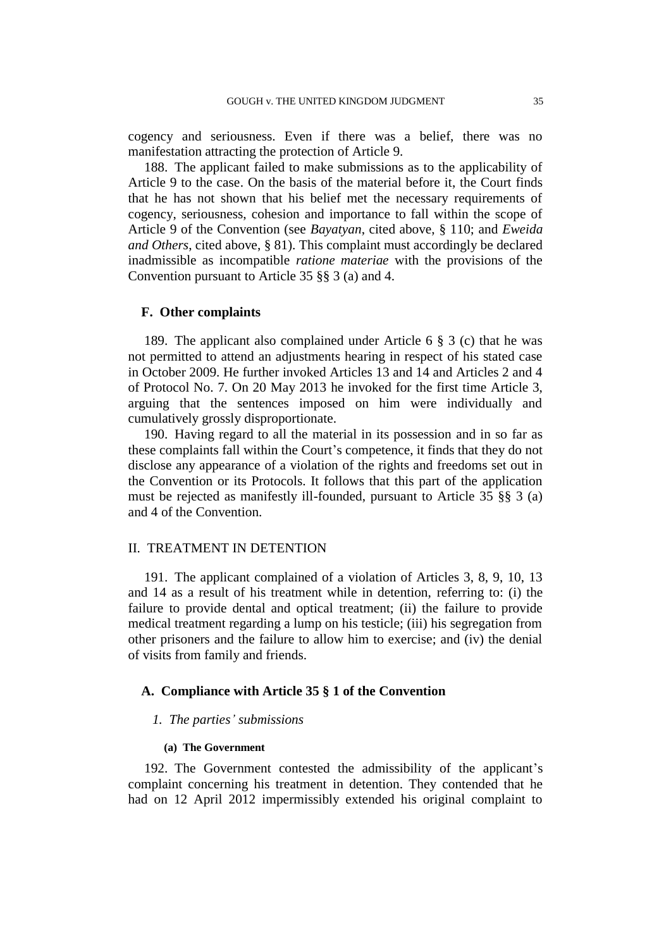cogency and seriousness. Even if there was a belief, there was no manifestation attracting the protection of Article 9.

188. The applicant failed to make submissions as to the applicability of Article 9 to the case. On the basis of the material before it, the Court finds that he has not shown that his belief met the necessary requirements of cogency, seriousness, cohesion and importance to fall within the scope of Article 9 of the Convention (see *Bayatyan*, cited above, § 110; and *Eweida and Others*, cited above, § 81). This complaint must accordingly be declared inadmissible as incompatible *ratione materiae* with the provisions of the Convention pursuant to Article 35 §§ 3 (a) and 4.

#### **F. Other complaints**

189. The applicant also complained under Article 6 § 3 (c) that he was not permitted to attend an adjustments hearing in respect of his stated case in October 2009. He further invoked Articles 13 and 14 and Articles 2 and 4 of Protocol No. 7. On 20 May 2013 he invoked for the first time Article 3, arguing that the sentences imposed on him were individually and cumulatively grossly disproportionate.

190. Having regard to all the material in its possession and in so far as these complaints fall within the Court's competence, it finds that they do not disclose any appearance of a violation of the rights and freedoms set out in the Convention or its Protocols. It follows that this part of the application must be rejected as manifestly ill-founded, pursuant to Article 35 §§ 3 (a) and 4 of the Convention.

## II. TREATMENT IN DETENTION

191. The applicant complained of a violation of Articles 3, 8, 9, 10, 13 and 14 as a result of his treatment while in detention, referring to: (i) the failure to provide dental and optical treatment; (ii) the failure to provide medical treatment regarding a lump on his testicle; (iii) his segregation from other prisoners and the failure to allow him to exercise; and (iv) the denial of visits from family and friends.

## **A. Compliance with Article 35 § 1 of the Convention**

## *1. The parties' submissions*

### **(a) The Government**

192. The Government contested the admissibility of the applicant's complaint concerning his treatment in detention. They contended that he had on 12 April 2012 impermissibly extended his original complaint to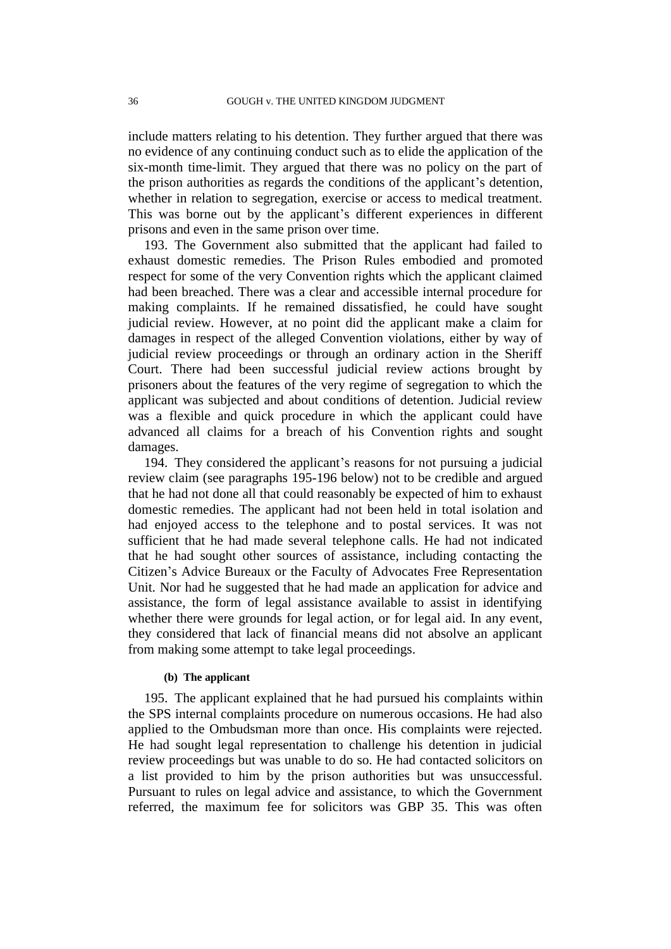include matters relating to his detention. They further argued that there was no evidence of any continuing conduct such as to elide the application of the six-month time-limit. They argued that there was no policy on the part of the prison authorities as regards the conditions of the applicant's detention, whether in relation to segregation, exercise or access to medical treatment. This was borne out by the applicant's different experiences in different prisons and even in the same prison over time.

193. The Government also submitted that the applicant had failed to exhaust domestic remedies. The Prison Rules embodied and promoted respect for some of the very Convention rights which the applicant claimed had been breached. There was a clear and accessible internal procedure for making complaints. If he remained dissatisfied, he could have sought judicial review. However, at no point did the applicant make a claim for damages in respect of the alleged Convention violations, either by way of judicial review proceedings or through an ordinary action in the Sheriff Court. There had been successful judicial review actions brought by prisoners about the features of the very regime of segregation to which the applicant was subjected and about conditions of detention. Judicial review was a flexible and quick procedure in which the applicant could have advanced all claims for a breach of his Convention rights and sought damages.

194. They considered the applicant's reasons for not pursuing a judicial review claim (see paragraphs [195](#page-37-0)[-196](#page-38-0) below) not to be credible and argued that he had not done all that could reasonably be expected of him to exhaust domestic remedies. The applicant had not been held in total isolation and had enjoyed access to the telephone and to postal services. It was not sufficient that he had made several telephone calls. He had not indicated that he had sought other sources of assistance, including contacting the Citizen's Advice Bureaux or the Faculty of Advocates Free Representation Unit. Nor had he suggested that he had made an application for advice and assistance, the form of legal assistance available to assist in identifying whether there were grounds for legal action, or for legal aid. In any event, they considered that lack of financial means did not absolve an applicant from making some attempt to take legal proceedings.

## **(b) The applicant**

<span id="page-37-0"></span>195. The applicant explained that he had pursued his complaints within the SPS internal complaints procedure on numerous occasions. He had also applied to the Ombudsman more than once. His complaints were rejected. He had sought legal representation to challenge his detention in judicial review proceedings but was unable to do so. He had contacted solicitors on a list provided to him by the prison authorities but was unsuccessful. Pursuant to rules on legal advice and assistance, to which the Government referred, the maximum fee for solicitors was GBP 35. This was often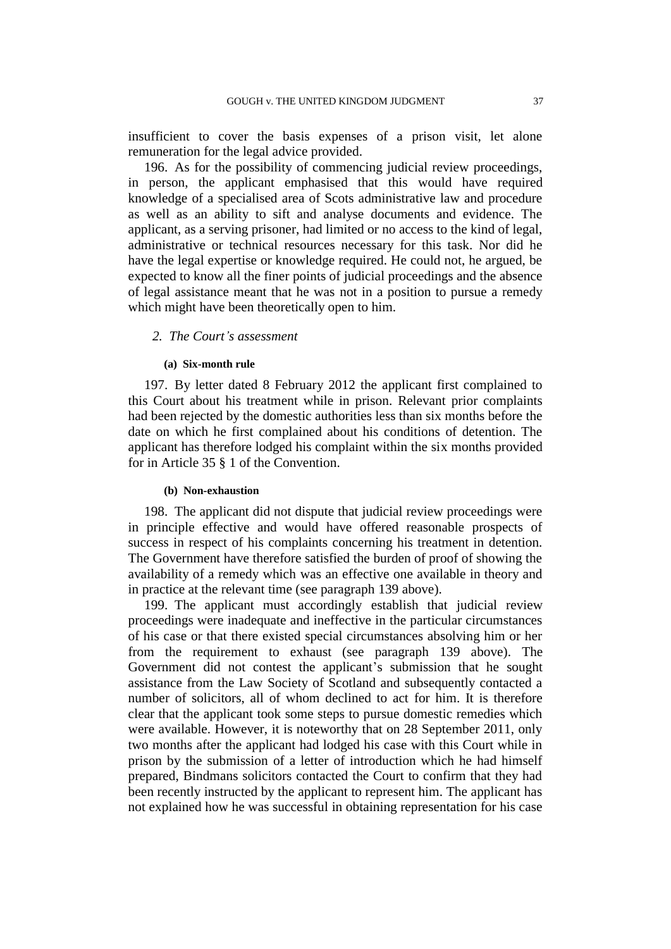insufficient to cover the basis expenses of a prison visit, let alone remuneration for the legal advice provided.

<span id="page-38-0"></span>196. As for the possibility of commencing judicial review proceedings, in person, the applicant emphasised that this would have required knowledge of a specialised area of Scots administrative law and procedure as well as an ability to sift and analyse documents and evidence. The applicant, as a serving prisoner, had limited or no access to the kind of legal, administrative or technical resources necessary for this task. Nor did he have the legal expertise or knowledge required. He could not, he argued, be expected to know all the finer points of judicial proceedings and the absence of legal assistance meant that he was not in a position to pursue a remedy which might have been theoretically open to him.

### *2. The Court's assessment*

## **(a) Six-month rule**

197. By letter dated 8 February 2012 the applicant first complained to this Court about his treatment while in prison. Relevant prior complaints had been rejected by the domestic authorities less than six months before the date on which he first complained about his conditions of detention. The applicant has therefore lodged his complaint within the six months provided for in Article 35 § 1 of the Convention.

#### **(b) Non-exhaustion**

198. The applicant did not dispute that judicial review proceedings were in principle effective and would have offered reasonable prospects of success in respect of his complaints concerning his treatment in detention. The Government have therefore satisfied the burden of proof of showing the availability of a remedy which was an effective one available in theory and in practice at the relevant time (see paragraph [139](#page-22-1) above).

199. The applicant must accordingly establish that judicial review proceedings were inadequate and ineffective in the particular circumstances of his case or that there existed special circumstances absolving him or her from the requirement to exhaust (see paragraph [139](#page-22-1) above). The Government did not contest the applicant's submission that he sought assistance from the Law Society of Scotland and subsequently contacted a number of solicitors, all of whom declined to act for him. It is therefore clear that the applicant took some steps to pursue domestic remedies which were available. However, it is noteworthy that on 28 September 2011, only two months after the applicant had lodged his case with this Court while in prison by the submission of a letter of introduction which he had himself prepared, Bindmans solicitors contacted the Court to confirm that they had been recently instructed by the applicant to represent him. The applicant has not explained how he was successful in obtaining representation for his case